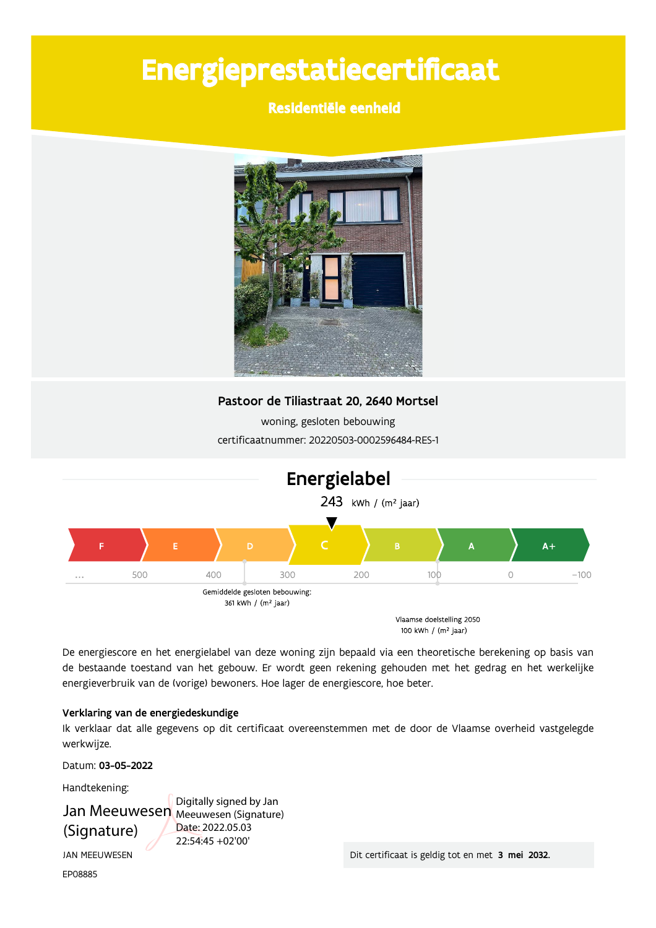# Energieprestatiecertificaat

## Residentiële eenheid



### Pastoor de Tiliastraat 20, 2640 Mortsel

woning, gesloten bebouwing certificaatnummer: 20220503-0002596484-RES-1



De energiescore en het energielabel van deze woning zijn bepaald via een theoretische berekening op basis van de bestaande toestand van het gebouw. Er wordt geen rekening gehouden met het gedrag en het werkelijke energieverbruik van de (vorige) bewoners. Hoe lager de energiescore, hoe beter.

### Verklaring van de energiedeskundige

Ik verklaar dat alle gegevens op dit certificaat overeenstemmen met de door de Vlaamse overheid vastgelegde werkwijze.

Datum: 03-05-2022

Handtekening:

# Jan Meeuwesen Meeuwesen (Signature) (Signature)

Digitally signed by Jan Date: 2022.05.03 22:54:45 +02'00'

**JAN MEEUWESEN** EP08885

Dit certificaat is geldig tot en met 3 mei 2032.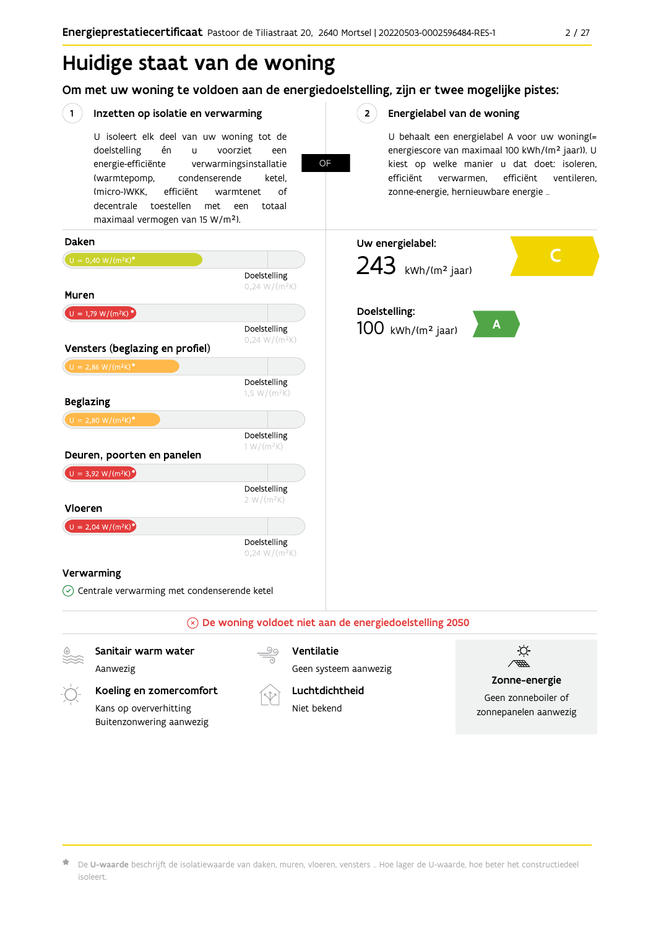# Huidige staat van de woning

Om met uw woning te voldoen aan de energiedoelstelling, zijn er twee mogelijke pistes:

OF

#### $(1)$ Inzetten op isolatie en verwarming

U isoleert elk deel van uw woning tot de voorziet doelstelling én  $\mathbf{u}$ een energie-efficiënte verwarmingsinstallatie (warmtepomp, condenserende ketel. (micro-)WKK. efficiënt warmtenet  $\bigcap_{ }$ decentrale toestellen met een totaal maximaal vermogen van 15 W/m<sup>2</sup>).

 $2^{\circ}$ Energielabel van de woning

> U behaalt een energielabel A voor uw woning(= energiescore van maximaal 100 kWh/(m<sup>2</sup> jaar)). U kiest op welke manier u dat doet: isoleren, efficiënt efficiënt ventileren, verwarmen, zonne-energie, hernieuwbare energie ...



Aanwezig

Ventilatie

Geen systeem aanwezig

Koeling en zomercomfort

Kans op oververhitting Buitenzonwering aanwezig



Luchtdichtheid Niet bekend



Zonne-energie

Geen zonneboiler of zonnepanelen aanwezig

De U-waarde beschrijft de isolatiewaarde van daken, muren, vloeren, vensters ... Hoe lager de U-waarde, hoe beter het constructiedeel isoleert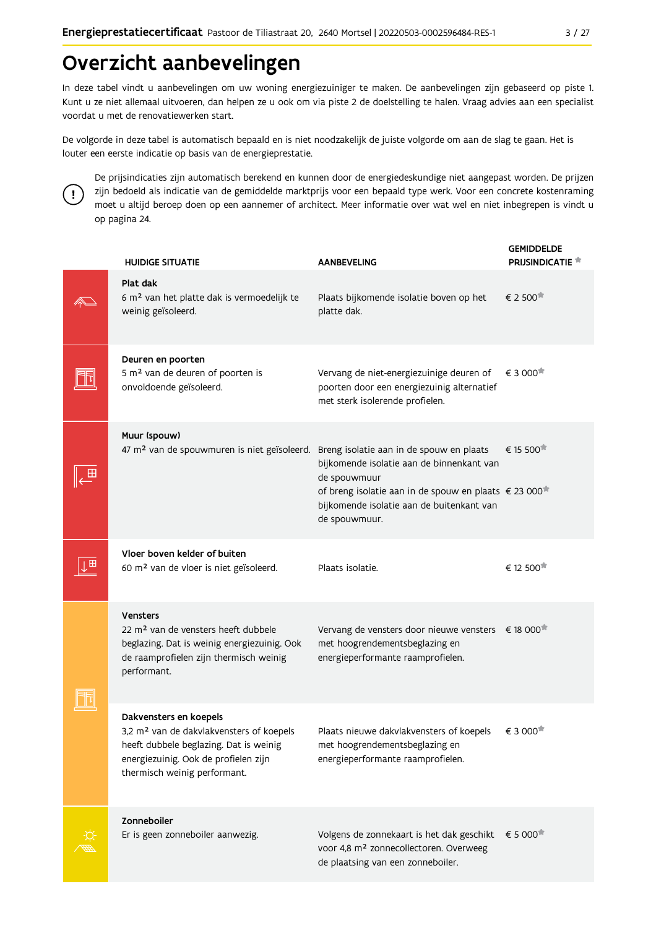# Overzicht aanbevelingen

In deze tabel vindt u aanbevelingen om uw woning energiezuiniger te maken. De aanbevelingen zijn gebaseerd op piste 1. Kunt u ze niet allemaal uitvoeren, dan helpen ze u ook om via piste 2 de doelstelling te halen. Vraag advies aan een specialist voordat u met de renovatiewerken start.

De volgorde in deze tabel is automatisch bepaald en is niet noodzakelijk de juiste volgorde om aan de slag te gaan. Het is louter een eerste indicatie op basis van de energieprestatie.



De prijsindicaties zijn automatisch berekend en kunnen door de energiedeskundige niet aangepast worden. De prijzen zijn bedoeld als indicatie van de gemiddelde marktprijs voor een bepaald type werk. Voor een concrete kostenraming moet u altijd beroep doen op een aannemer of architect. Meer informatie over wat wel en niet inbegrepen is vindt u op pagina 24.

| <b>HUIDIGE SITUATIE</b>                                                                                                                                                                          | <b>AANBEVELING</b>                                                                                                                                                                           | <b>GEMIDDELDE</b><br><b>PRIJSINDICATIE</b> |
|--------------------------------------------------------------------------------------------------------------------------------------------------------------------------------------------------|----------------------------------------------------------------------------------------------------------------------------------------------------------------------------------------------|--------------------------------------------|
| Plat dak<br>6 m <sup>2</sup> van het platte dak is vermoedelijk te<br>weinig geïsoleerd.                                                                                                         | Plaats bijkomende isolatie boven op het<br>platte dak.                                                                                                                                       | € 2 500                                    |
| Deuren en poorten<br>5 m <sup>2</sup> van de deuren of poorten is<br>onvoldoende geïsoleerd.                                                                                                     | Vervang de niet-energiezuinige deuren of<br>poorten door een energiezuinig alternatief<br>met sterk isolerende profielen.                                                                    | € 3 000                                    |
| Muur (spouw)<br>47 m <sup>2</sup> van de spouwmuren is niet geïsoleerd. Breng isolatie aan in de spouw en plaats                                                                                 | bijkomende isolatie aan de binnenkant van<br>de spouwmuur<br>of breng isolatie aan in de spouw en plaats € 23 000 <sup>*</sup><br>bijkomende isolatie aan de buitenkant van<br>de spouwmuur. | € 15 500                                   |
| Vloer boven kelder of buiten<br>60 m <sup>2</sup> van de vloer is niet geïsoleerd.                                                                                                               | Plaats isolatie.                                                                                                                                                                             | € 12 500                                   |
| Vensters<br>22 m <sup>2</sup> van de vensters heeft dubbele<br>beglazing. Dat is weinig energiezuinig. Ook<br>de raamprofielen zijn thermisch weinig<br>performant.                              | Vervang de vensters door nieuwe vensters € 18 000 <sup>*</sup><br>met hoogrendementsbeglazing en<br>energieperformante raamprofielen.                                                        |                                            |
| Dakvensters en koepels<br>3,2 m <sup>2</sup> van de dakvlakvensters of koepels<br>heeft dubbele beglazing. Dat is weinig<br>energiezuinig. Ook de profielen zijn<br>thermisch weinig performant. | Plaats nieuwe dakvlakvensters of koepels<br>met hoogrendementsbeglazing en<br>energieperformante raamprofielen.                                                                              | € 3 000                                    |
| Zonneboiler<br>Er is geen zonneboiler aanwezig.                                                                                                                                                  | Volgens de zonnekaart is het dak geschikt<br>voor 4,8 m <sup>2</sup> zonnecollectoren. Overweeg<br>de plaatsing van een zonneboiler.                                                         | € 5 000                                    |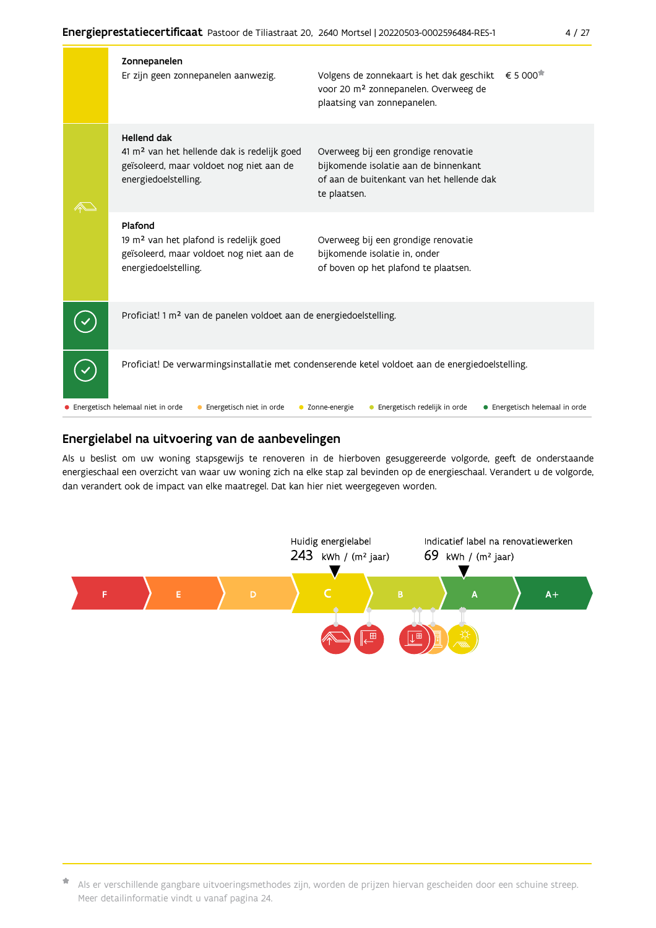| Zonnepanelen<br>Er zijn geen zonnepanelen aanwezig.                                                                                               | Volgens de zonnekaart is het dak geschikt<br>voor 20 m <sup>2</sup> zonnepanelen. Overweeg de<br>plaatsing van zonnepanelen.              | € 5 000 <sup><math>#</math></sup> |
|---------------------------------------------------------------------------------------------------------------------------------------------------|-------------------------------------------------------------------------------------------------------------------------------------------|-----------------------------------|
| <b>Hellend dak</b><br>41 m <sup>2</sup> van het hellende dak is redelijk goed<br>geïsoleerd, maar voldoet nog niet aan de<br>energiedoelstelling. | Overweeg bij een grondige renovatie<br>bijkomende isolatie aan de binnenkant<br>of aan de buitenkant van het hellende dak<br>te plaatsen. |                                   |
| Plafond<br>19 m <sup>2</sup> van het plafond is redelijk goed<br>geïsoleerd, maar voldoet nog niet aan de<br>energiedoelstelling.                 | Overweeg bij een grondige renovatie<br>bijkomende isolatie in, onder<br>of boven op het plafond te plaatsen.                              |                                   |
| Proficiat! 1 m <sup>2</sup> van de panelen voldoet aan de energiedoelstelling.                                                                    |                                                                                                                                           |                                   |
| Proficiat! De verwarmingsinstallatie met condenserende ketel voldoet aan de energiedoelstelling.                                                  |                                                                                                                                           |                                   |
| • Energetisch helemaal niet in orde<br>Energetisch niet in orde                                                                                   | Energetisch redelijk in orde<br>Zonne-energie                                                                                             | • Energetisch helemaal in orde    |

#### Energielabel na uitvoering van de aanbevelingen

Als u beslist om uw woning stapsgewijs te renoveren in de hierboven gesuggereerde volgorde, geeft de onderstaande energieschaal een overzicht van waar uw woning zich na elke stap zal bevinden op de energieschaal. Verandert u de volgorde, dan verandert ook de impact van elke maatregel. Dat kan hier niet weergegeven worden.



\* Als er verschillende gangbare uitvoeringsmethodes zijn, worden de prijzen hiervan gescheiden door een schuine streep. Meer detailinformatie vindt u vanaf pagina 24.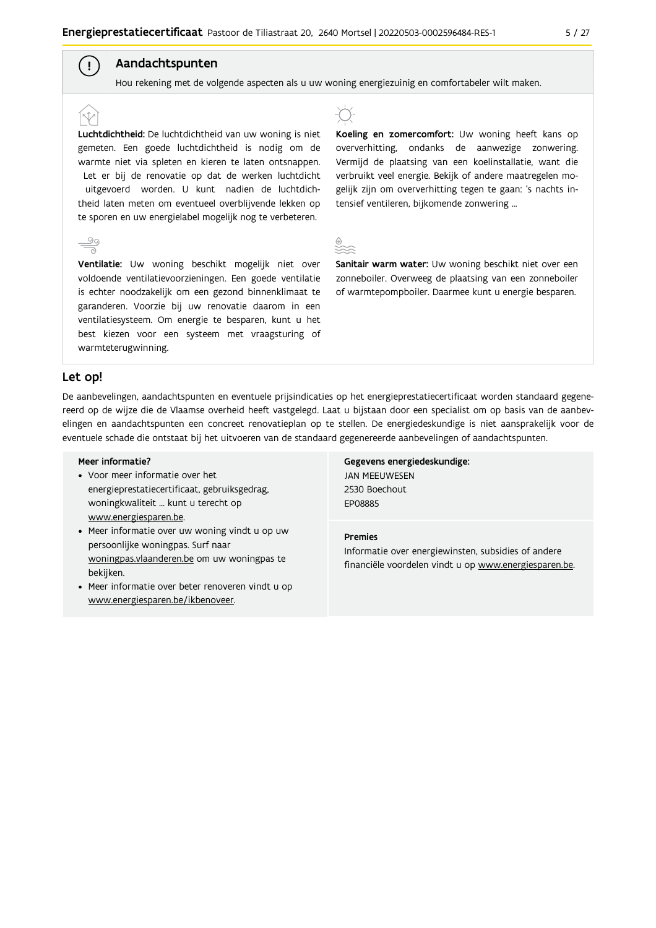## Aandachtspunten

Hou rekening met de volgende aspecten als u uw woning energiezuinig en comfortabeler wilt maken.

Luchtdichtheid: De luchtdichtheid van uw woning is niet gemeten. Een goede luchtdichtheid is nodig om de warmte niet via spleten en kieren te laten ontsnappen. Let er bij de renovatie op dat de werken luchtdicht uitgevoerd worden. U kunt nadien de luchtdichtheid laten meten om eventueel overblijvende lekken op te sporen en uw energielabel mogelijk nog te verbeteren.



 $\left( \begin{array}{c} 1 \end{array} \right)$ 

Ventilatie: Uw woning beschikt mogelijk niet over voldoende ventilatievoorzieningen. Een goede ventilatie is echter noodzakelijk om een gezond binnenklimaat te garanderen. Voorzie bij uw renovatie daarom in een ventilatiesysteem. Om energie te besparen, kunt u het best kiezen voor een systeem met vraagsturing of warmteterugwinning.



Koeling en zomercomfort: Uw woning heeft kans op oververhitting, ondanks de aanwezige zonwering. Vermijd de plaatsing van een koelinstallatie, want die verbruikt veel energie. Bekijk of andere maatregelen mogelijk zijn om oververhitting tegen te gaan: 's nachts intensief ventileren, bijkomende zonwering ...



Sanitair warm water: Uw woning beschikt niet over een zonneboiler. Overweeg de plaatsing van een zonneboiler of warmtepompboiler. Daarmee kunt u energie besparen.

#### Let op!

De aanbevelingen, aandachtspunten en eventuele prijsindicaties op het energieprestatiecertificaat worden standaard gegenereerd op de wijze die de Vlaamse overheid heeft vastgelegd. Laat u bijstaan door een specialist om op basis van de aanbevelingen en aandachtspunten een concreet renovatieplan op te stellen. De energiedeskundige is niet aansprakelijk voor de eventuele schade die ontstaat bij het uitvoeren van de standaard gegenereerde aanbevelingen of aandachtspunten.

#### Meer informatie?

- Voor meer informatie over het energieprestatiecertificaat, gebruiksgedrag, woningkwaliteit ... kunt u terecht op www.energiesparen.be.
- Meer informatie over uw woning vindt u op uw persoonlijke woningpas. Surf naar woningpas.vlaanderen.be om uw woningpas te bekijken.
- Meer informatie over beter renoveren vindt u op www.energiesparen.be/ikbenoveer.

Gegevens energiedeskundige: **JAN MEEUWESEN** 2530 Boechout **FP08885** 

#### **Premies**

Informatie over energiewinsten, subsidies of andere financiële voordelen vindt u op www.energiesparen.be.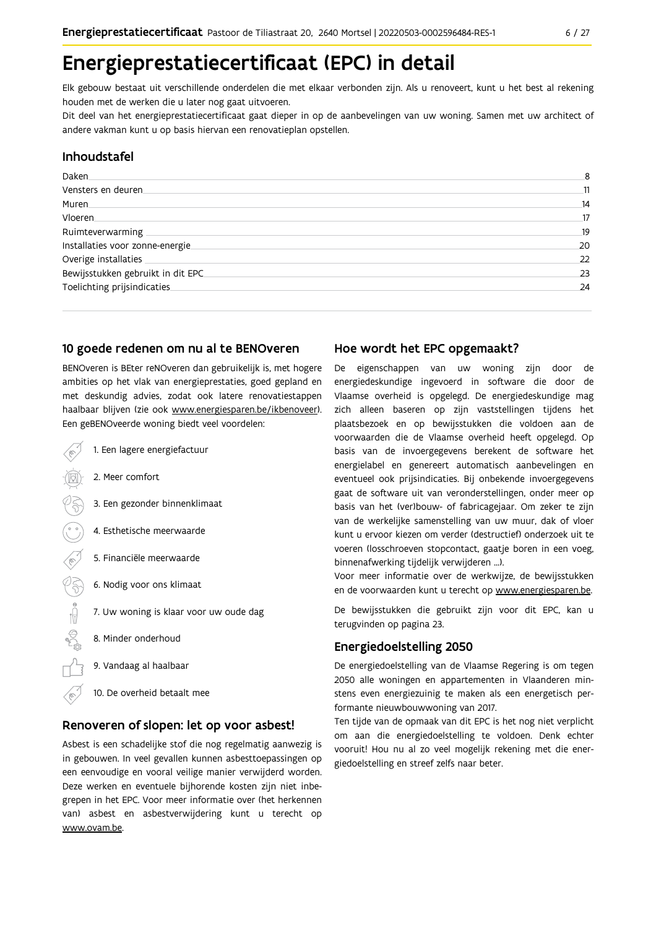# Energieprestatiecertificaat (EPC) in detail

Elk gebouw bestaat uit verschillende onderdelen die met elkaar verbonden zijn. Als u renoveert, kunt u het best al rekening houden met de werken die u later nog gaat uitvoeren.

Dit deel van het energieprestatiecertificaat gaat dieper in op de aanbevelingen van uw woning. Samen met uw architect of andere vakman kunt u op basis hiervan een renovatieplan opstellen.

#### Inhoudstafel

| Daken.                            | 8  |
|-----------------------------------|----|
| Vensters en deuren                | 11 |
| Muren                             | 14 |
| Vloeren                           | 17 |
| Ruimteverwarming                  | 19 |
| Installaties voor zonne-energie.  | 20 |
| Overige installaties              | 22 |
| Bewijsstukken gebruikt in dit EPC | 23 |
| Toelichting prijsindicaties       | 24 |

### 10 goede redenen om nu al te BENOveren

BENOveren is BEter reNOveren dan gebruikelijk is, met hogere ambities op het vlak van energieprestaties, goed gepland en met deskundig advies, zodat ook latere renovatiestappen haalbaar blijven (zie ook www.energiesparen.be/ikbenoveer). Een geBENOveerde woning biedt veel voordelen:

- 1. Een lagere energiefactuur 2. Meer comfort 3. Een gezonder binnenklimaat 4. Esthetische meerwaarde 5. Financiële meerwaarde  $\sqrt{3}$ 6. Nodig voor ons klimaat  $\begin{picture}(150,10) \put(0,0){\line(1,0){10}} \put(15,0){\line(1,0){10}} \put(15,0){\line(1,0){10}} \put(15,0){\line(1,0){10}} \put(15,0){\line(1,0){10}} \put(15,0){\line(1,0){10}} \put(15,0){\line(1,0){10}} \put(15,0){\line(1,0){10}} \put(15,0){\line(1,0){10}} \put(15,0){\line(1,0){10}} \put(15,0){\line(1,0){10}} \put(15,0){\line($ 7. Uw woning is klaar voor uw oude dag 8. Minder onderhoud
	- 9. Vandaag al haalbaar
	- 10. De overheid betaalt mee

#### Renoveren of slopen: let op voor asbest!

Asbest is een schadelijke stof die nog regelmatig aanwezig is in gebouwen. In veel gevallen kunnen asbesttoepassingen op een eenvoudige en vooral veilige manier verwijderd worden. Deze werken en eventuele bijhorende kosten zijn niet inbegrepen in het EPC. Voor meer informatie over (het herkennen van) asbest en asbestverwijdering kunt u terecht op www.ovam.be.

### Hoe wordt het EPC opgemaakt?

De eigenschappen van uw woning zijn door de energiedeskundige ingevoerd in software die door de Vlaamse overheid is opgelegd. De energiedeskundige mag zich alleen baseren op zijn vaststellingen tijdens het plaatsbezoek en op bewijsstukken die voldoen aan de voorwaarden die de Vlaamse overheid heeft opgelegd. Op basis van de invoergegevens berekent de software het energielabel en genereert automatisch aanbevelingen en eventueel ook prijsindicaties. Bij onbekende invoergegevens gaat de software uit van veronderstellingen, onder meer op basis van het (ver)bouw- of fabricagejaar. Om zeker te zijn van de werkelijke samenstelling van uw muur, dak of vloer kunt u ervoor kiezen om verder (destructief) onderzoek uit te voeren (losschroeven stopcontact, gaatje boren in een voeg, binnenafwerking tijdelijk verwijderen ...).

Voor meer informatie over de werkwijze, de bewijsstukken en de voorwaarden kunt u terecht op www.energiesparen.be.

De bewijsstukken die gebruikt zijn voor dit EPC, kan u terugvinden op pagina 23.

### **Energiedoelstelling 2050**

De energiedoelstelling van de Vlaamse Regering is om tegen 2050 alle woningen en appartementen in Vlaanderen minstens even energiezuinig te maken als een energetisch performante nieuwbouwwoning van 2017.

Ten tijde van de opmaak van dit EPC is het nog niet verplicht om aan die energiedoelstelling te voldoen. Denk echter vooruit! Hou nu al zo veel mogelijk rekening met die energiedoelstelling en streef zelfs naar beter.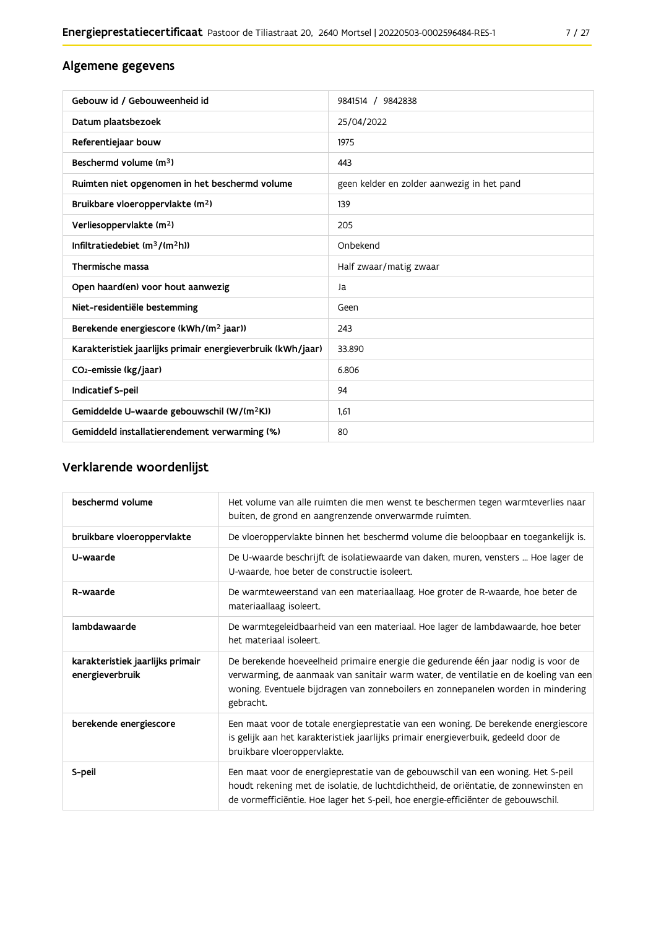## Algemene gegevens

| Gebouw id / Gebouweenheid id                                | 9841514 / 9842838                          |
|-------------------------------------------------------------|--------------------------------------------|
| Datum plaatsbezoek                                          | 25/04/2022                                 |
| Referentiejaar bouw                                         | 1975                                       |
| Beschermd volume (m <sup>3</sup> )                          | 443                                        |
| Ruimten niet opgenomen in het beschermd volume              | geen kelder en zolder aanwezig in het pand |
| Bruikbare vloeroppervlakte (m <sup>2</sup> )                | 139                                        |
| Verliesoppervlakte (m <sup>2</sup> )                        | 205                                        |
| Infiltratiedebiet $(m^3/(m^2h))$                            | Onbekend                                   |
| Thermische massa                                            | Half zwaar/matig zwaar                     |
| Open haard(en) voor hout aanwezig                           | Ja                                         |
| Niet-residentiële bestemming                                | Geen                                       |
| Berekende energiescore (kWh/(m <sup>2</sup> jaar))          | 243                                        |
| Karakteristiek jaarlijks primair energieverbruik (kWh/jaar) | 33.890                                     |
| CO <sub>2</sub> -emissie (kg/jaar)                          | 6.806                                      |
| Indicatief S-peil                                           | 94                                         |
| Gemiddelde U-waarde gebouwschil (W/(m <sup>2</sup> K))      | 1.61                                       |
| Gemiddeld installatierendement verwarming (%)               | 80                                         |

## Verklarende woordenlijst

| beschermd volume                                    | Het volume van alle ruimten die men wenst te beschermen tegen warmteverlies naar<br>buiten, de grond en aangrenzende onverwarmde ruimten.                                                                                                                                 |
|-----------------------------------------------------|---------------------------------------------------------------------------------------------------------------------------------------------------------------------------------------------------------------------------------------------------------------------------|
| bruikbare vloeroppervlakte                          | De vloeroppervlakte binnen het beschermd volume die beloopbaar en toegankelijk is.                                                                                                                                                                                        |
| U-waarde                                            | De U-waarde beschrijft de isolatiewaarde van daken, muren, vensters  Hoe lager de<br>U-waarde, hoe beter de constructie isoleert.                                                                                                                                         |
| R-waarde                                            | De warmteweerstand van een materiaallaag. Hoe groter de R-waarde, hoe beter de<br>materiaallaag isoleert.                                                                                                                                                                 |
| lambdawaarde                                        | De warmtegeleidbaarheid van een materiaal. Hoe lager de lambdawaarde, hoe beter<br>het materiaal isoleert.                                                                                                                                                                |
| karakteristiek jaarlijks primair<br>energieverbruik | De berekende hoeveelheid primaire energie die gedurende één jaar nodig is voor de<br>verwarming, de aanmaak van sanitair warm water, de ventilatie en de koeling van een<br>woning. Eventuele bijdragen van zonneboilers en zonnepanelen worden in mindering<br>gebracht. |
| berekende energiescore                              | Een maat voor de totale energieprestatie van een woning. De berekende energiescore<br>is gelijk aan het karakteristiek jaarlijks primair energieverbuik, gedeeld door de<br>bruikbare vloeroppervlakte.                                                                   |
| S-peil                                              | Een maat voor de energieprestatie van de gebouwschil van een woning. Het S-peil<br>houdt rekening met de isolatie, de luchtdichtheid, de oriëntatie, de zonnewinsten en<br>de vormefficiëntie. Hoe lager het S-peil, hoe energie-efficiënter de gebouwschil.              |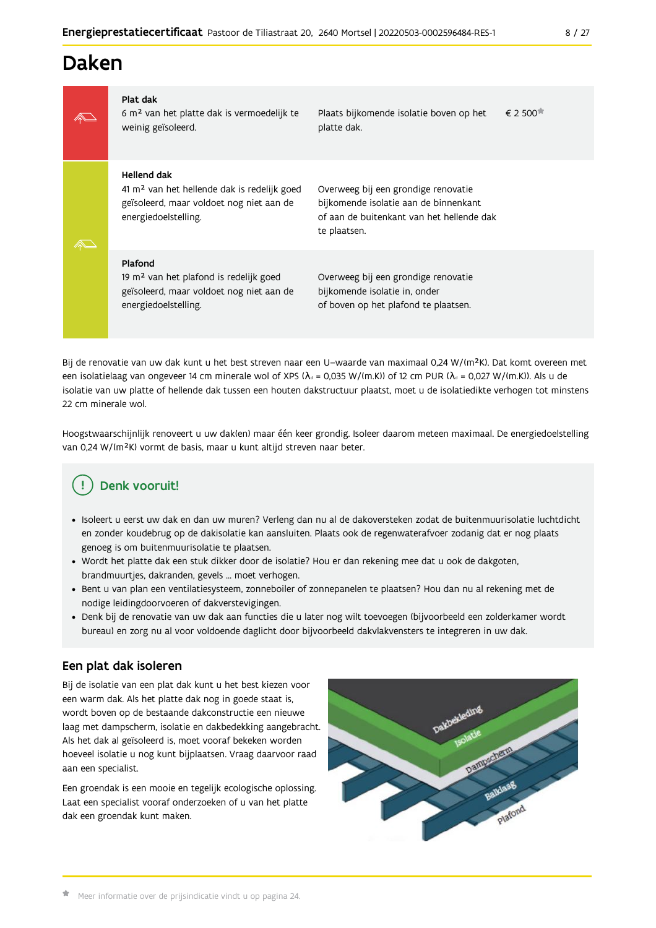# Daken

| Plat dak<br>6 m <sup>2</sup> van het platte dak is vermoedelijk te<br>weinig geïsoleerd.                                                   | Plaats bijkomende isolatie boven op het<br>platte dak.                                                                                    | $\epsilon$ 2.500 $\pi$ |
|--------------------------------------------------------------------------------------------------------------------------------------------|-------------------------------------------------------------------------------------------------------------------------------------------|------------------------|
| Hellend dak<br>41 m <sup>2</sup> van het hellende dak is redelijk goed<br>geïsoleerd, maar voldoet nog niet aan de<br>energiedoelstelling. | Overweeg bij een grondige renovatie<br>bijkomende isolatie aan de binnenkant<br>of aan de buitenkant van het hellende dak<br>te plaatsen. |                        |
| Plafond<br>19 m <sup>2</sup> van het plafond is redelijk goed<br>geïsoleerd, maar voldoet nog niet aan de<br>energiedoelstelling.          | Overweeg bij een grondige renovatie<br>bijkomende isolatie in, onder<br>of boven op het plafond te plaatsen.                              |                        |

Bij de renovatie van uw dak kunt u het best streven naar een U-waarde van maximaal 0,24 W/(m<sup>2</sup>K). Dat komt overeen met een isolatielaag van ongeveer 14 cm minerale wol of XPS ( $\lambda_a$  = 0,035 W/(m.K)) of 12 cm PUR ( $\lambda_a$  = 0,027 W/(m.K)). Als u de isolatie van uw platte of hellende dak tussen een houten dakstructuur plaatst, moet u de isolatiedikte verhogen tot minstens 22 cm minerale wol.

Hoogstwaarschijnlijk renoveert u uw dak(en) maar één keer grondig. Isoleer daarom meteen maximaal. De energiedoelstelling van 0,24 W/(m<sup>2</sup>K) vormt de basis, maar u kunt altijd streven naar beter.

#### **Denk vooruit!** Ţ

- · Isoleert u eerst uw dak en dan uw muren? Verleng dan nu al de dakoversteken zodat de buitenmuurisolatie luchtdicht en zonder koudebrug op de dakisolatie kan aansluiten. Plaats ook de regenwaterafvoer zodanig dat er nog plaats genoeg is om buitenmuurisolatie te plaatsen.
- · Wordt het platte dak een stuk dikker door de isolatie? Hou er dan rekening mee dat u ook de dakgoten, brandmuurtjes, dakranden, gevels ... moet verhogen.
- · Bent u van plan een ventilatiesysteem, zonneboiler of zonnepanelen te plaatsen? Hou dan nu al rekening met de nodige leidingdoorvoeren of dakverstevigingen.
- · Denk bij de renovatie van uw dak aan functies die u later nog wilt toevoegen (bijvoorbeeld een zolderkamer wordt bureau) en zorg nu al voor voldoende daglicht door bijvoorbeeld dakvlakvensters te integreren in uw dak.

### Een plat dak isoleren

Bij de isolatie van een plat dak kunt u het best kiezen voor een warm dak. Als het platte dak nog in goede staat is, wordt boven op de bestaande dakconstructie een nieuwe laag met dampscherm, isolatie en dakbedekking aangebracht. Als het dak al geïsoleerd is, moet vooraf bekeken worden hoeveel isolatie u nog kunt bijplaatsen. Vraag daarvoor raad aan een specialist.

Een groendak is een mooie en tegelijk ecologische oplossing. Laat een specialist vooraf onderzoeken of u van het platte dak een groendak kunt maken.

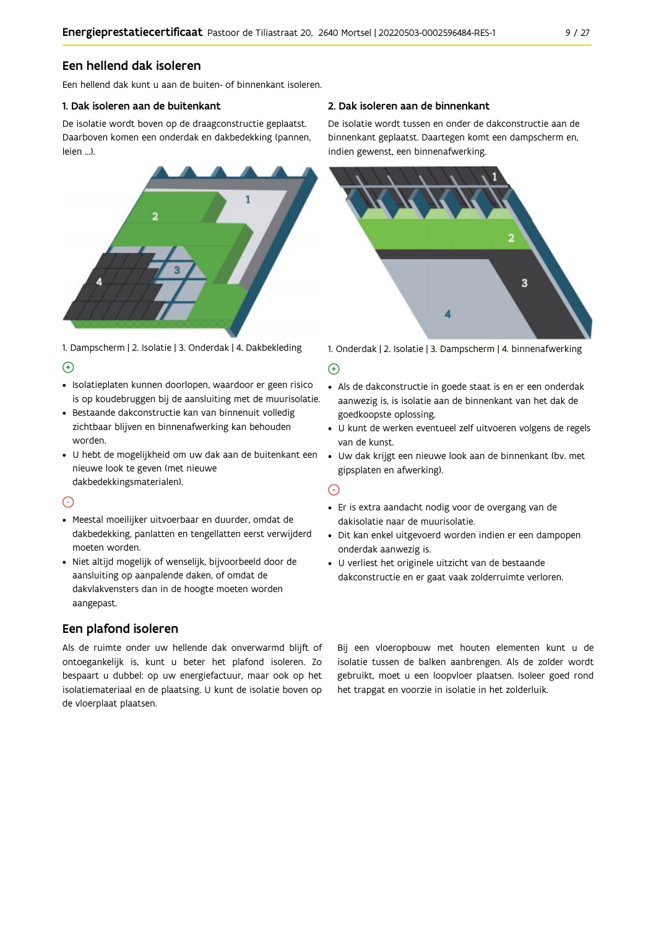### Een hellend dak isoleren

Een hellend dak kunt u aan de buiten- of binnenkant isoleren.

#### 1. Dak isoleren aan de buitenkant

De isolatie wordt boven op de draagconstructie geplaatst. Daarboven komen een onderdak en dakbedekking (pannen, leien ...).



1. Dampscherm | 2. Isolatie | 3. Onderdak | 4. Dakbekleding  $\Theta$ 

- · Isolatieplaten kunnen doorlopen, waardoor er geen risico is op koudebruggen bij de aansluiting met de muurisolatie.
- · Bestaande dakconstructie kan van binnenuit volledig zichtbaar blijven en binnenafwerking kan behouden worden.
- · U hebt de mogelijkheid om uw dak aan de buitenkant een nieuwe look te geven (met nieuwe dakbedekkingsmaterialen).

#### $\odot$

- · Meestal moeilijker uitvoerbaar en duurder, omdat de dakbedekking, panlatten en tengellatten eerst verwijderd moeten worden.
- · Niet altijd mogelijk of wenselijk, bijvoorbeeld door de aansluiting op aanpalende daken, of omdat de dakvlakvensters dan in de hoogte moeten worden aangepast.

## Een plafond isoleren

Als de ruimte onder uw hellende dak onverwarmd blijft of ontoegankelijk is, kunt u beter het plafond isoleren. Zo bespaart u dubbel: op uw energiefactuur, maar ook op het isolatiemateriaal en de plaatsing. U kunt de isolatie boven op de vloerplaat plaatsen.

#### 2. Dak isoleren aan de binnenkant

De isolatie wordt tussen en onder de dakconstructie aan de binnenkant geplaatst. Daartegen komt een dampscherm en, indien gewenst, een binnenafwerking.



1. Onderdak | 2. Isolatie | 3. Dampscherm | 4. binnenafwerking

#### $\bigoplus$

- Als de dakconstructie in goede staat is en er een onderdak aanwezig is, is isolatie aan de binnenkant van het dak de goedkoopste oplossing.
- · U kunt de werken eventueel zelf uitvoeren volgens de regels van de kunst.
- · Uw dak krijgt een nieuwe look aan de binnenkant (bv. met gipsplaten en afwerking).

#### $\odot$

- · Er is extra aandacht nodig voor de overgang van de dakisolatie naar de muurisolatie.
- · Dit kan enkel uitgevoerd worden indien er een dampopen onderdak aanwezig is.
- · U verliest het originele uitzicht van de bestaande dakconstructie en er gaat vaak zolderruimte verloren.

Bij een vloeropbouw met houten elementen kunt u de isolatie tussen de balken aanbrengen. Als de zolder wordt gebruikt, moet u een loopvloer plaatsen. Isoleer goed rond het trapgat en voorzie in isolatie in het zolderluik.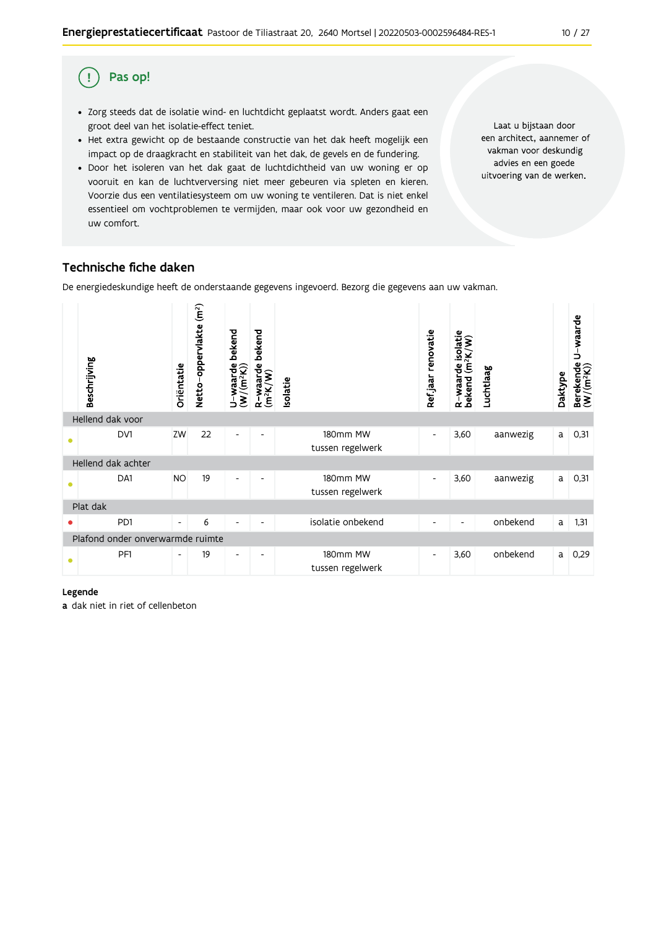#### Pas op! (!)

- · Zorg steeds dat de isolatie wind- en luchtdicht geplaatst wordt. Anders gaat een groot deel van het isolatie-effect teniet.
- Het extra gewicht op de bestaande constructie van het dak heeft mogelijk een impact op de draagkracht en stabiliteit van het dak, de gevels en de fundering.
- · Door het isoleren van het dak gaat de luchtdichtheid van uw woning er op vooruit en kan de luchtverversing niet meer gebeuren via spleten en kieren. Voorzie dus een ventilatiesysteem om uw woning te ventileren. Dat is niet enkel essentieel om vochtproblemen te vermijden, maar ook voor uw gezondheid en uw comfort.

Laat u bijstaan door een architect, aannemer of vakman voor deskundig advies en een goede uitvoering van de werken.

## Technische fiche daken

De energiedeskundige heeft de onderstaande gegevens ingevoerd. Bezorg die gegevens aan uw vakman.



#### Legende

a dak niet in riet of cellenbeton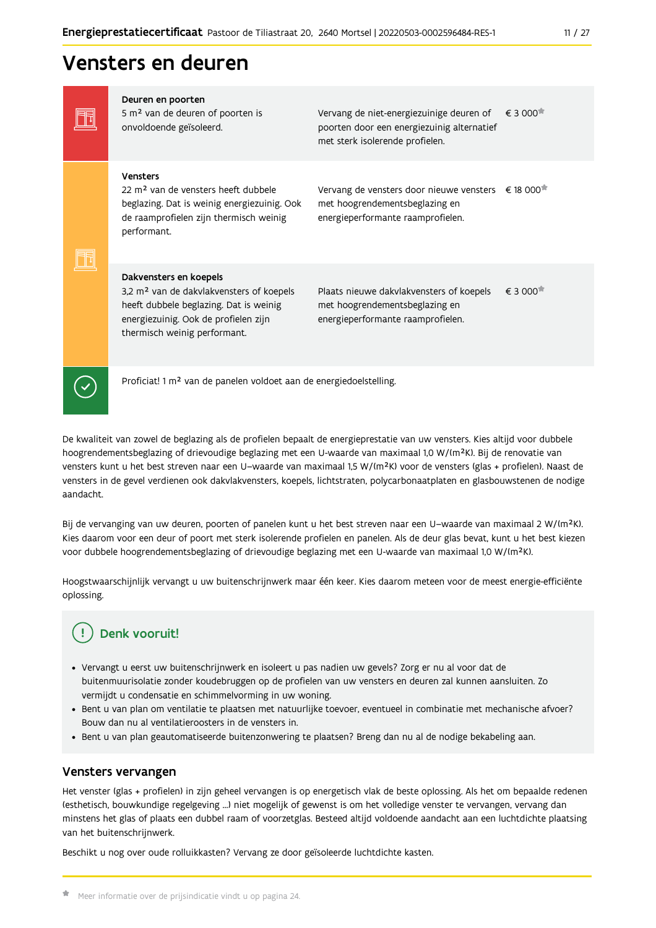## Vensters en deuren

| Deuren en poorten<br>5 m <sup>2</sup> van de deuren of poorten is<br>onvoldoende geïsoleerd.                                                                                                     | Vervang de niet-energiezuinige deuren of<br>poorten door een energiezuinig alternatief<br>met sterk isolerende profielen.             | $\epsilon$ 3 000 $\pi$                   |
|--------------------------------------------------------------------------------------------------------------------------------------------------------------------------------------------------|---------------------------------------------------------------------------------------------------------------------------------------|------------------------------------------|
| Vensters<br>22 m <sup>2</sup> van de vensters heeft dubbele<br>beglazing. Dat is weinig energiezuinig. Ook<br>de raamprofielen zijn thermisch weinig<br>performant.                              | Vervang de vensters door nieuwe vensters € 18 000 <sup>*</sup><br>met hoogrendementsbeglazing en<br>energieperformante raamprofielen. |                                          |
| Dakvensters en koepels<br>3,2 m <sup>2</sup> van de dakvlakvensters of koepels<br>heeft dubbele beglazing. Dat is weinig<br>energiezuinig. Ook de profielen zijn<br>thermisch weinig performant. | Plaats nieuwe dakvlakvensters of koepels<br>met hoogrendementsbeglazing en<br>energieperformante raamprofielen.                       | € 3 000 <sup><math>\uparrow</math></sup> |
| Proficiat! 1 m <sup>2</sup> van de panelen voldoet aan de energiedoelstelling.                                                                                                                   |                                                                                                                                       |                                          |

De kwaliteit van zowel de beglazing als de profielen bepaalt de energieprestatie van uw vensters. Kies altijd voor dubbele hoogrendementsbeglazing of drievoudige beglazing met een U-waarde van maximaal 1,0 W/(m<sup>2</sup>K). Bij de renovatie van vensters kunt u het best streven naar een U-waarde van maximaal 1,5 W/(m<sup>2</sup>K) voor de vensters (glas + profielen). Naast de vensters in de gevel verdienen ook dakvlakvensters, koepels, lichtstraten, polycarbonaatplaten en glasbouwstenen de nodige aandacht.

Bij de vervanging van uw deuren, poorten of panelen kunt u het best streven naar een U-waarde van maximaal 2 W/(m<sup>2</sup>K). Kies daarom voor een deur of poort met sterk isolerende profielen en panelen. Als de deur glas bevat, kunt u het best kiezen voor dubbele hoogrendementsbeglazing of drievoudige beglazing met een U-waarde van maximaal 1,0 W/(m<sup>2</sup>K).

Hoogstwaarschijnlijk vervangt u uw buitenschrijnwerk maar één keer. Kies daarom meteen voor de meest energie-efficiënte oplossing.

## Denk vooruit!

- · Vervangt u eerst uw buitenschrijnwerk en isoleert u pas nadien uw gevels? Zorg er nu al voor dat de buitenmuurisolatie zonder koudebruggen op de profielen van uw vensters en deuren zal kunnen aansluiten. Zo vermijdt u condensatie en schimmelvorming in uw woning.
- Bent u van plan om ventilatie te plaatsen met natuurlijke toevoer, eventueel in combinatie met mechanische afvoer? Bouw dan nu al ventilatieroosters in de vensters in.
- · Bent u van plan geautomatiseerde buitenzonwering te plaatsen? Breng dan nu al de nodige bekabeling aan.

#### Vensters vervangen

Het venster (glas + profielen) in zijn geheel vervangen is op energetisch vlak de beste oplossing. Als het om bepaalde redenen (esthetisch, bouwkundige regelgeving ...) niet mogelijk of gewenst is om het volledige venster te vervangen, vervang dan minstens het glas of plaats een dubbel raam of voorzetglas. Besteed altijd voldoende aandacht aan een luchtdichte plaatsing van het buitenschrijnwerk.

Beschikt u nog over oude rolluikkasten? Vervang ze door geïsoleerde luchtdichte kasten.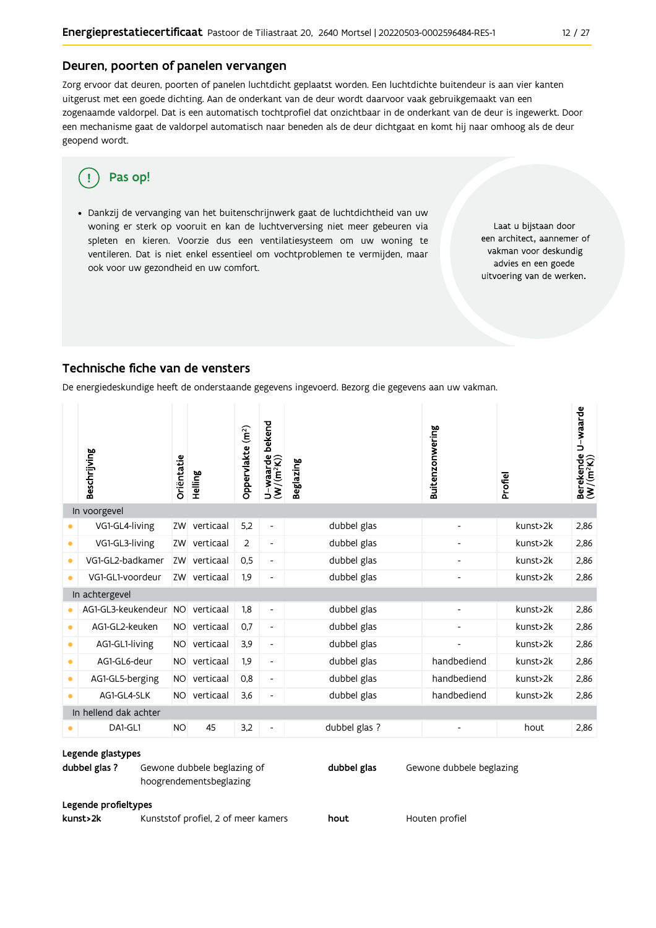#### Deuren, poorten of panelen vervangen

Zorg ervoor dat deuren, poorten of panelen luchtdicht geplaatst worden. Een luchtdichte buitendeur is aan vier kanten uitgerust met een goede dichting. Aan de onderkant van de deur wordt daarvoor vaak gebruikgemaakt van een zogenaamde valdorpel. Dat is een automatisch tochtprofiel dat onzichtbaar in de onderkant van de deur is ingewerkt. Door een mechanisme gaat de valdorpel automatisch naar beneden als de deur dichtgaat en komt hij naar omhoog als de deur geopend wordt.

#### Pas op! ŋ

· Dankzij de vervanging van het buitenschrijnwerk gaat de luchtdichtheid van uw woning er sterk op vooruit en kan de luchtverversing niet meer gebeuren via spleten en kieren. Voorzie dus een ventilatiesysteem om uw woning te ventileren. Dat is niet enkel essentieel om vochtproblemen te vermijden, maar ook voor uw gezondheid en uw comfort.

Laat u bijstaan door een architect, aannemer of vakman voor deskundig advies en een goede uitvoering van de werken.

#### Technische fiche van de vensters

De energiedeskundige heeft de onderstaande gegevens ingevoerd. Bezorg die gegevens aan uw vakman.

|           | Beschrijving          | Oriëntatie | Helling   | Oppervlakte (m <sup>2</sup> ) | bekend<br>U-waarde l<br>(W/(m <sup>2</sup> K)) | <b>Beglazing</b> | <b>Buitenzonwering</b> | Profiel  | U-waarde<br>Berekende l<br>(W/(m <sup>2</sup> K)) |
|-----------|-----------------------|------------|-----------|-------------------------------|------------------------------------------------|------------------|------------------------|----------|---------------------------------------------------|
|           | In voorgevel          |            |           |                               |                                                |                  |                        |          |                                                   |
|           | VG1-GL4-living        | ZW         | verticaal | 5,2                           | $\overline{\phantom{0}}$                       | dubbel glas      | -                      | kunst>2k | 2,86                                              |
| ۰         | VG1-GL3-living        | ZW         | verticaal | 2                             | $\overline{\phantom{a}}$                       | dubbel glas      |                        | kunst>2k | 2,86                                              |
| $\bullet$ | VG1-GL2-badkamer      | ZW         | verticaal | 0,5                           | -                                              | dubbel glas      | -                      | kunst>2k | 2,86                                              |
| $\bullet$ | VG1-GL1-voordeur      | ZW         | verticaal | 1,9                           | $\qquad \qquad \blacksquare$                   | dubbel glas      | $\overline{a}$         | kunst>2k | 2.86                                              |
|           | In achtergevel        |            |           |                               |                                                |                  |                        |          |                                                   |
|           | AG1-GL3-keukendeur NO |            | verticaal | 1,8                           | $\overline{\phantom{a}}$                       | dubbel glas      | $\overline{a}$         | kunst>2k | 2,86                                              |
| $\bullet$ | AG1-GL2-keuken        | NO.        | verticaal | 0.7                           | $\overline{\phantom{a}}$                       | dubbel glas      | -                      | kunst>2k | 2,86                                              |
| ۰         | AG1-GL1-living        | <b>NO</b>  | verticaal | 3,9                           | $\overline{\phantom{a}}$                       | dubbel glas      |                        | kunst>2k | 2.86                                              |
| $\bullet$ | AG1-GL6-deur          | <b>NO</b>  | verticaal | 1,9                           | -                                              | dubbel glas      | handbediend            | kunst>2k | 2,86                                              |
| $\bullet$ | AG1-GL5-berging       | NO.        | verticaal | 0,8                           | $\overline{\phantom{a}}$                       | dubbel glas      | handbediend            | kunst>2k | 2,86                                              |
| ۰         | AG1-GL4-SLK           | NO.        | verticaal | 3,6                           | $\qquad \qquad \blacksquare$                   | dubbel glas      | handbediend            | kunst>2k | 2.86                                              |
|           | In hellend dak achter |            |           |                               |                                                |                  |                        |          |                                                   |
|           | DA1-GL1               | <b>NO</b>  | 45        | 3,2                           | $\overline{\phantom{a}}$                       | dubbel glas ?    |                        | hout     | 2.86                                              |

#### Legende glastypes

dubbel glas? Gewone dubbele beglazing of dubbel glas Gewone dubbele beglazing hoogrendementsbeglazing

#### Legende profieltypes

kunst>2k

Kunststof profiel, 2 of meer kamers

hout

Houten profiel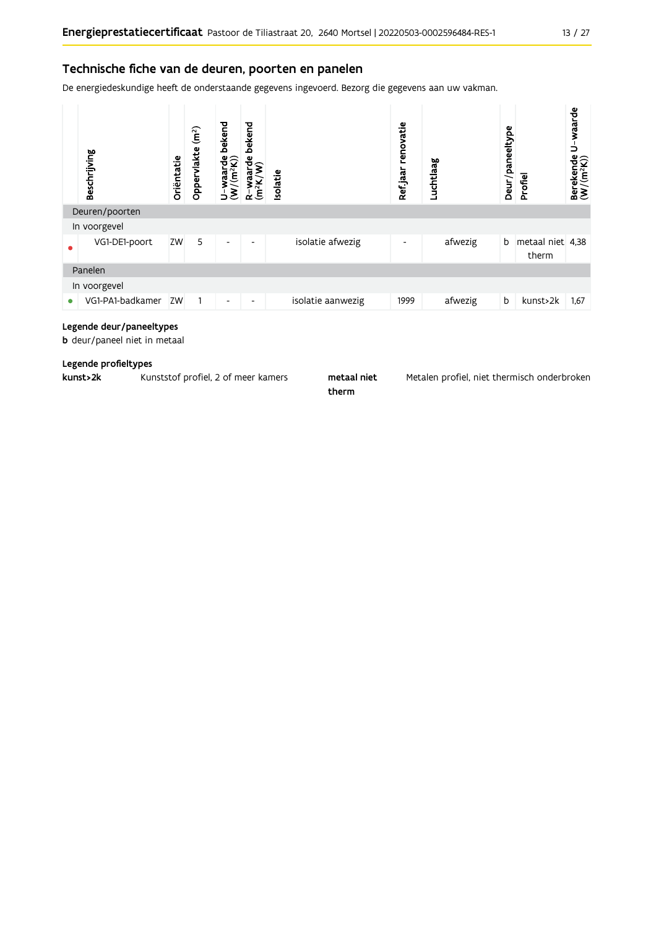### Technische fiche van de deuren, poorten en panelen

De energiedeskundige heeft de onderstaande gegevens ingevoerd. Bezorg die gegevens aan uw vakman.



#### Legende deur/paneeltypes

b deur/paneel niet in metaal

#### Legende profieltypes

| kunst>2k | Kunststof profiel, 2 of meer kamers | metaal niet | Metalen profiel, niet theri |
|----------|-------------------------------------|-------------|-----------------------------|
|----------|-------------------------------------|-------------|-----------------------------|

therm

misch onderbroken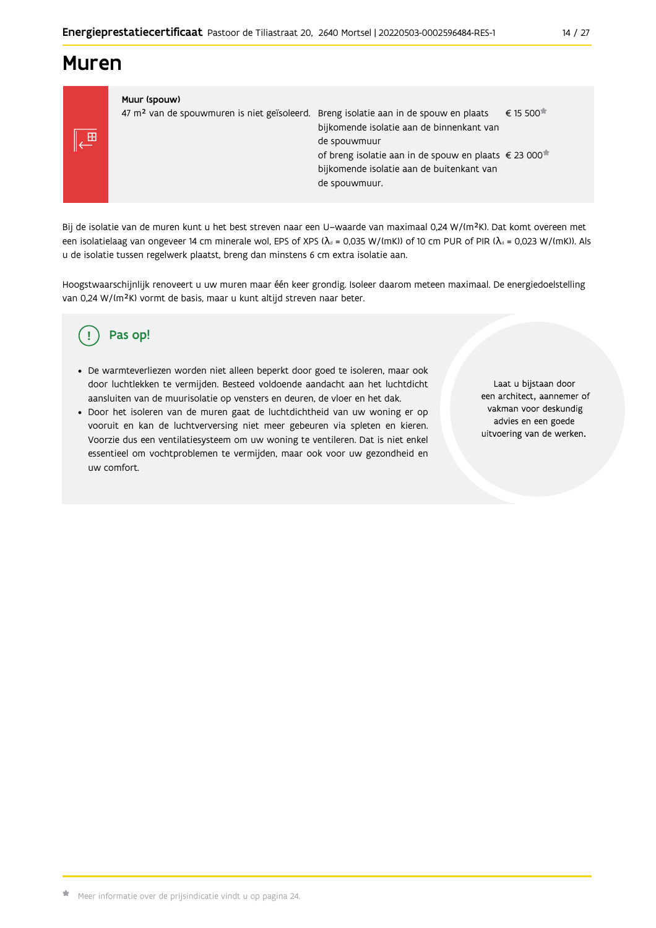## **Muren**

LE

| de spouwmuur. | Muur (spouw)<br>47 m <sup>2</sup> van de spouwmuren is niet geïsoleerd. Breng isolatie aan in de spouw en plaats | bijkomende isolatie aan de binnenkant van<br>de spouwmuur<br>of breng isolatie aan in de spouw en plaats € 23 000<br>bijkomende isolatie aan de buitenkant van | € 15 500 <sup><math>\overline{•}</math></sup> |
|---------------|------------------------------------------------------------------------------------------------------------------|----------------------------------------------------------------------------------------------------------------------------------------------------------------|-----------------------------------------------|
|---------------|------------------------------------------------------------------------------------------------------------------|----------------------------------------------------------------------------------------------------------------------------------------------------------------|-----------------------------------------------|

Bij de isolatie van de muren kunt u het best streven naar een U-waarde van maximaal 0,24 W/(m<sup>2</sup>K). Dat komt overeen met een isolatielaag van ongeveer 14 cm minerale wol, EPS of XPS ( $\lambda_a$  = 0,035 W/(mK)) of 10 cm PUR of PIR ( $\lambda_a$  = 0,023 W/(mK)). Als u de isolatie tussen regelwerk plaatst, breng dan minstens 6 cm extra isolatie aan.

Hoogstwaarschijnlijk renoveert u uw muren maar één keer grondig. Isoleer daarom meteen maximaal. De energiedoelstelling van 0,24 W/(m<sup>2</sup>K) vormt de basis, maar u kunt altijd streven naar beter.

#### Pas op! ( !

- · De warmteverliezen worden niet alleen beperkt door goed te isoleren, maar ook door luchtlekken te vermijden. Besteed voldoende aandacht aan het luchtdicht aansluiten van de muurisolatie op vensters en deuren, de vloer en het dak.
- · Door het isoleren van de muren gaat de luchtdichtheid van uw woning er op vooruit en kan de luchtverversing niet meer gebeuren via spleten en kieren. Voorzie dus een ventilatiesysteem om uw woning te ventileren. Dat is niet enkel essentieel om vochtproblemen te vermijden, maar ook voor uw gezondheid en uw comfort.

Laat u bijstaan door een architect, aannemer of vakman voor deskundig advies en een goede uitvoering van de werken.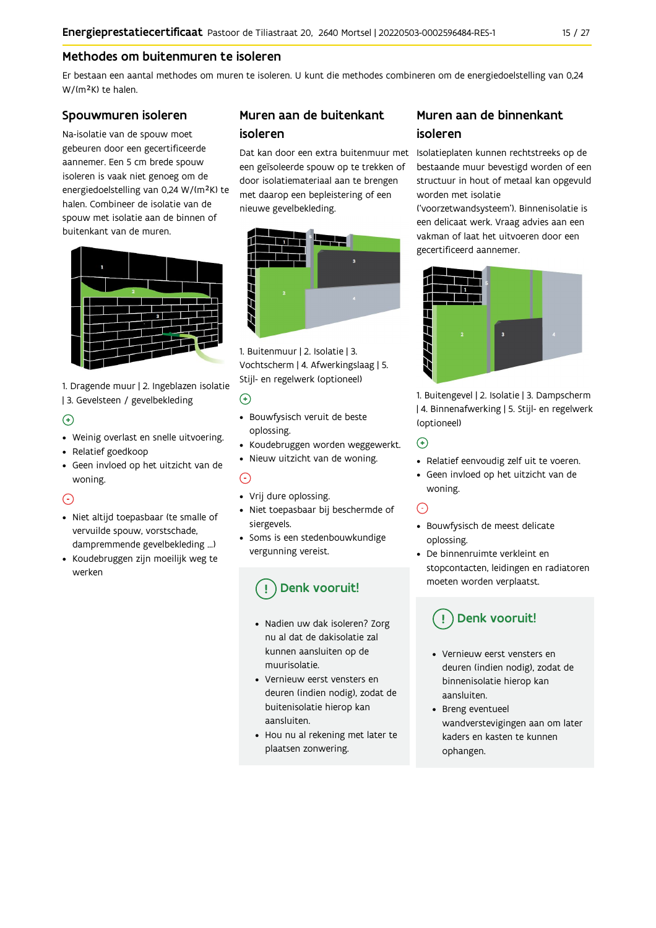## Methodes om buitenmuren te isoleren

Er bestaan een aantal methodes om muren te isoleren. U kunt die methodes combineren om de energiedoelstelling van 0,24 W/(m<sup>2</sup>K) te halen.

#### Spouwmuren isoleren

Na-isolatie van de spouw moet gebeuren door een gecertificeerde aannemer. Een 5 cm brede spouw isoleren is vaak niet genoeg om de energiedoelstelling van 0,24 W/(m<sup>2</sup>K) te halen. Combineer de isolatie van de spouw met isolatie aan de binnen of buitenkant van de muren.



1. Dragende muur | 2. Ingeblazen isolatie | 3. Gevelsteen / gevelbekleding

### $\bigoplus$

- Weinig overlast en snelle uitvoering.
- Relatief goedkoop
- · Geen invloed op het uitzicht van de woning.

### $\odot$

- · Niet altijd toepasbaar (te smalle of vervuilde spouw, vorstschade, dampremmende gevelbekleding ...)
- Koudebruggen zijn moeilijk weg te werken

## Muren aan de buitenkant isoleren

een geïsoleerde spouw op te trekken of door isolatiemateriaal aan te brengen met daarop een bepleistering of een nieuwe gevelbekleding.



1. Buitenmuur | 2. Isolatie | 3. Vochtscherm | 4. Afwerkingslaag | 5. Stijl- en regelwerk (optioneel)

#### $\odot$

- · Bouwfysisch veruit de beste oplossing.
- · Koudebruggen worden weggewerkt.
- · Nieuw uitzicht van de woning.

### $\odot$

- Vrij dure oplossing.
- · Niet toepasbaar bij beschermde of siergevels.
- Soms is een stedenbouwkundige vergunning vereist.

## Denk vooruit!

- · Nadien uw dak isoleren? Zorg nu al dat de dakisolatie zal kunnen aansluiten op de muurisolatie
- Vernieuw eerst vensters en deuren (indien nodig), zodat de buitenisolatie hierop kan aansluiten.
- Hou nu al rekening met later te plaatsen zonwering.

## Muren aan de binnenkant isoleren

Dat kan door een extra buitenmuur met Isolatieplaten kunnen rechtstreeks op de bestaande muur bevestigd worden of een structuur in hout of metaal kan opgevuld worden met isolatie

('voorzetwandsysteem'). Binnenisolatie is een delicaat werk. Vraag advies aan een vakman of laat het uitvoeren door een gecertificeerd aannemer.



1. Buitengevel | 2. Isolatie | 3. Dampscherm | 4. Binnenafwerking | 5. Stijl- en regelwerk (optioneel)

#### $\bigodot$

- Relatief eenvoudig zelf uit te voeren.
- · Geen invloed op het uitzicht van de woning.

## $\odot$

- · Bouwfysisch de meest delicate oplossing.
- De binnenruimte verkleint en stopcontacten, leidingen en radiatoren moeten worden verplaatst.

## Denk vooruit!

- Vernieuw eerst vensters en deuren (indien nodig), zodat de binnenisolatie hierop kan aansluiten.
- Breng eventueel wandverstevigingen aan om later kaders en kasten te kunnen ophangen.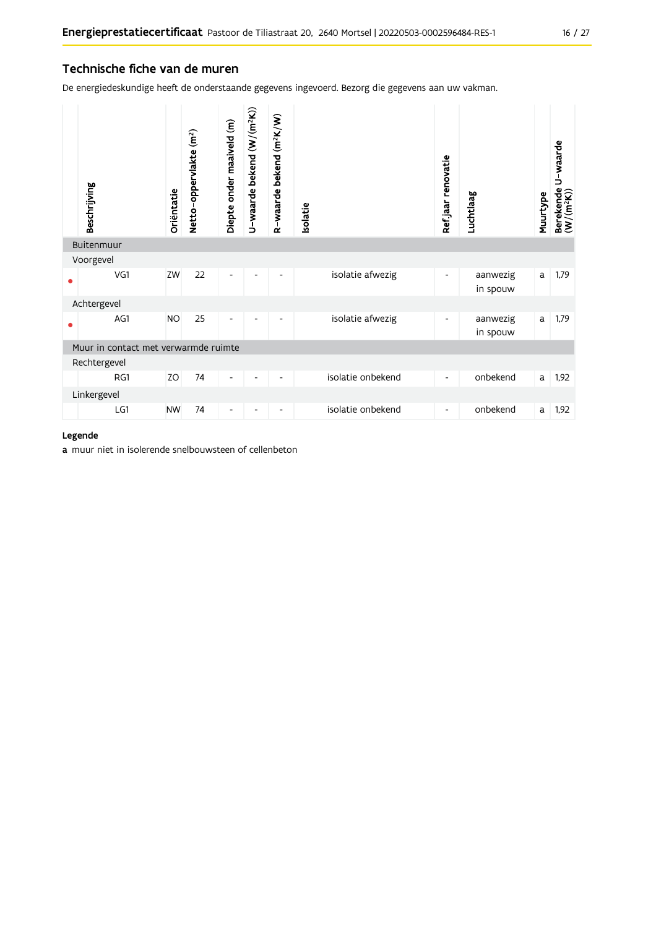## Technische fiche van de muren

De energiedeskundige heeft de onderstaande gegevens ingevoerd. Bezorg die gegevens aan uw vakman.

| Beschrijving                         | Oriëntatie | Netto-oppervlakte (m <sup>2</sup> ) | Diepte onder maaiveld (m) | U-waarde bekend (W/(m <sup>2</sup> K)) | R-waarde bekend (m <sup>2</sup> K/W) | Isolatie |                   | Ref.jaar renovatie       | Luchtlaag            | Muurtype | U-waarde<br>Berekende l<br>(W/(m <sup>2</sup> K)) |
|--------------------------------------|------------|-------------------------------------|---------------------------|----------------------------------------|--------------------------------------|----------|-------------------|--------------------------|----------------------|----------|---------------------------------------------------|
| Buitenmuur                           |            |                                     |                           |                                        |                                      |          |                   |                          |                      |          |                                                   |
| Voorgevel                            |            |                                     |                           |                                        |                                      |          |                   |                          |                      |          |                                                   |
| VG1                                  | ZW         | 22                                  | -                         |                                        |                                      |          | isolatie afwezig  | ۰                        | aanwezig<br>in spouw | a        | 1,79                                              |
| Achtergevel                          |            |                                     |                           |                                        |                                      |          |                   |                          |                      |          |                                                   |
| AG1                                  | <b>NO</b>  | 25                                  | -                         |                                        |                                      |          | isolatie afwezig  | -                        | aanwezig<br>in spouw | a        | 1,79                                              |
| Muur in contact met verwarmde ruimte |            |                                     |                           |                                        |                                      |          |                   |                          |                      |          |                                                   |
| Rechtergevel                         |            |                                     |                           |                                        |                                      |          |                   |                          |                      |          |                                                   |
| RG1                                  | ΖO         | 74                                  | -                         | $\overline{\phantom{a}}$               | -                                    |          | isolatie onbekend | -                        | onbekend             | a        | 1,92                                              |
| Linkergevel                          |            |                                     |                           |                                        |                                      |          |                   |                          |                      |          |                                                   |
| LG1                                  | <b>NW</b>  | 74                                  |                           |                                        |                                      |          | isolatie onbekend | $\overline{\phantom{0}}$ | onbekend             | a        | 1,92                                              |

#### Legende

a muur niet in isolerende snelbouwsteen of cellenbeton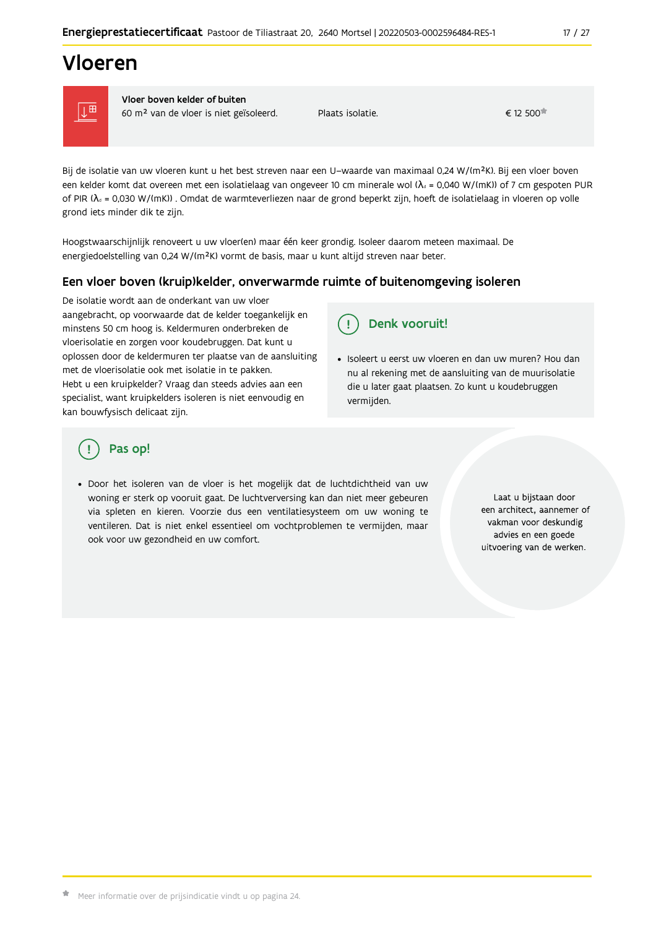# Vloeren



Vloer boven kelder of buiten

60 m<sup>2</sup> van de vloer is niet geïsoleerd.

Plaats isolatie.

 $\epsilon$  12 500 $\pi$ 

Bij de isolatie van uw vloeren kunt u het best streven naar een U-waarde van maximaal 0,24 W/(m<sup>2</sup>K). Bij een vloer boven een kelder komt dat overeen met een isolatielaag van ongeveer 10 cm minerale wol ( $\lambda_d$  = 0,040 W/(mK)) of 7 cm gespoten PUR of PIR ( $\lambda_s$  = 0,030 W/(mK)). Omdat de warmteverliezen naar de grond beperkt zijn, hoeft de isolatielaag in vloeren op volle grond iets minder dik te zijn.

Hoogstwaarschijnlijk renoveert u uw vloer(en) maar één keer grondig. Isoleer daarom meteen maximaal. De energiedoelstelling van 0,24 W/(m<sup>2</sup>K) vormt de basis, maar u kunt altijd streven naar beter.

### Een vloer boven (kruip) kelder, onverwarmde ruimte of buitenomgeving isoleren

De isolatie wordt aan de onderkant van uw vloer aangebracht, op voorwaarde dat de kelder toegankelijk en minstens 50 cm hoog is. Keldermuren onderbreken de vloerisolatie en zorgen voor koudebruggen. Dat kunt u oplossen door de keldermuren ter plaatse van de aansluiting met de vloerisolatie ook met isolatie in te pakken. Hebt u een kruipkelder? Vraag dan steeds advies aan een specialist, want kruipkelders isoleren is niet eenvoudig en kan bouwfysisch delicaat zijn.

#### Denk vooruit! Ţ.

· Isoleert u eerst uw vloeren en dan uw muren? Hou dan nu al rekening met de aansluiting van de muurisolatie die u later gaat plaatsen. Zo kunt u koudebruggen vermijden.

## Pas op!

· Door het isoleren van de vloer is het mogelijk dat de luchtdichtheid van uw woning er sterk op vooruit gaat. De luchtverversing kan dan niet meer gebeuren via spleten en kieren. Voorzie dus een ventilatiesysteem om uw woning te ventileren. Dat is niet enkel essentieel om vochtproblemen te vermijden, maar ook voor uw gezondheid en uw comfort.

Laat u bijstaan door een architect, aannemer of vakman voor deskundig advies en een goede uitvoering van de werken.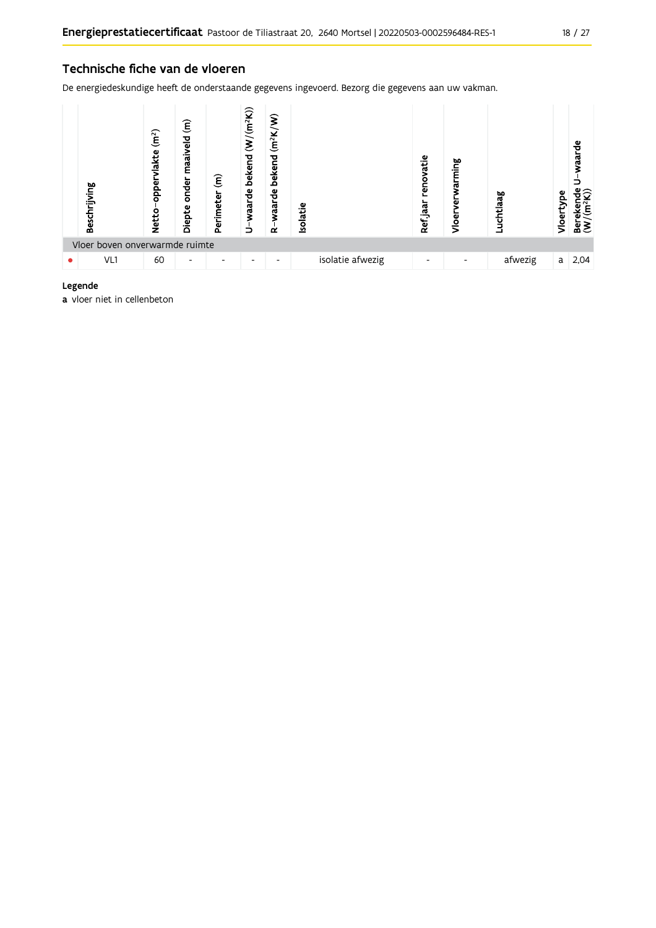#### Technische fiche van de vloeren

De energiedeskundige heeft de onderstaande gegevens ingevoerd. Bezorg die gegevens aan uw vakman.



#### Legende

a vloer niet in cellenbeton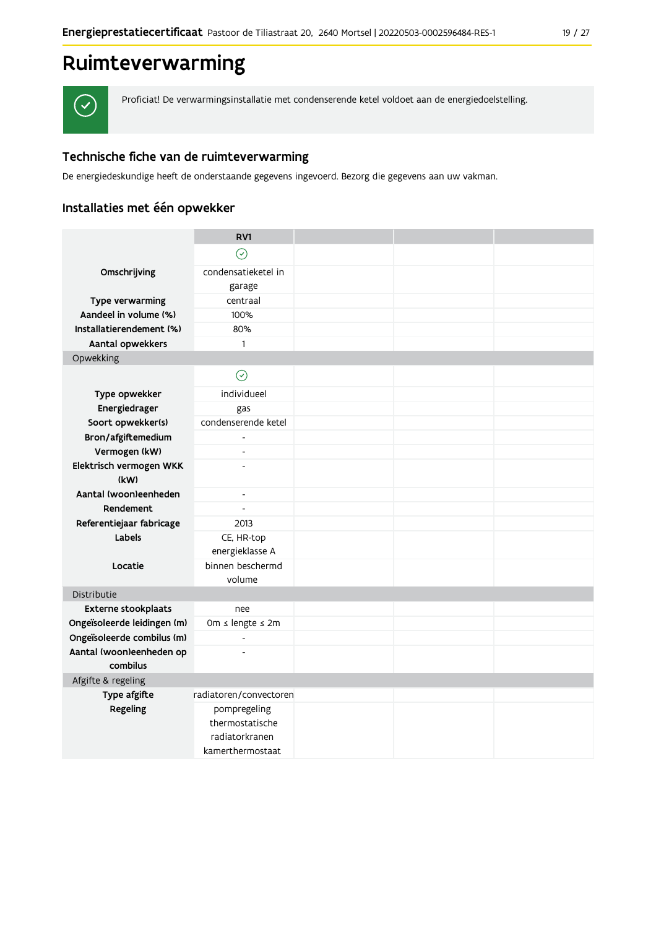# Ruimteverwarming



Proficiat! De verwarmingsinstallatie met condenserende ketel voldoet aan de energiedoelstelling.

## Technische fiche van de ruimteverwarming

De energiedeskundige heeft de onderstaande gegevens ingevoerd. Bezorg die gegevens aan uw vakman.

## Installaties met één opwekker

|                                      | RV1                      |  |  |
|--------------------------------------|--------------------------|--|--|
|                                      | $\odot$                  |  |  |
| Omschrijving                         | condensatieketel in      |  |  |
|                                      | garage                   |  |  |
| Type verwarming                      | centraal                 |  |  |
| Aandeel in volume (%)                | 100%                     |  |  |
| Installatierendement (%)             | 80%                      |  |  |
| Aantal opwekkers                     | 1                        |  |  |
| Opwekking                            |                          |  |  |
|                                      | $\odot$                  |  |  |
| Type opwekker                        | individueel              |  |  |
| Energiedrager                        | gas                      |  |  |
| Soort opwekker(s)                    | condenserende ketel      |  |  |
| Bron/afgiftemedium                   |                          |  |  |
| Vermogen (kW)                        | $\overline{a}$           |  |  |
| Elektrisch vermogen WKK              |                          |  |  |
| (kW)                                 |                          |  |  |
| Aantal (woon)eenheden                | $\blacksquare$           |  |  |
| Rendement                            | $\overline{\phantom{a}}$ |  |  |
| Referentiejaar fabricage             | 2013                     |  |  |
| Labels                               | CE, HR-top               |  |  |
|                                      | energieklasse A          |  |  |
| Locatie                              | binnen beschermd         |  |  |
|                                      | volume                   |  |  |
| Distributie                          |                          |  |  |
| Externe stookplaats                  | nee                      |  |  |
| Ongeïsoleerde leidingen (m)          | 0m ≤ lengte ≤ 2m         |  |  |
| Ongeïsoleerde combilus (m)           | $\frac{1}{2}$            |  |  |
| Aantal (woon)eenheden op<br>combilus | $\overline{a}$           |  |  |
| Afgifte & regeling                   |                          |  |  |
| Type afgifte                         | radiatoren/convectoren   |  |  |
| Regeling                             | pompregeling             |  |  |
|                                      | thermostatische          |  |  |
|                                      | radiatorkranen           |  |  |
|                                      | kamerthermostaat         |  |  |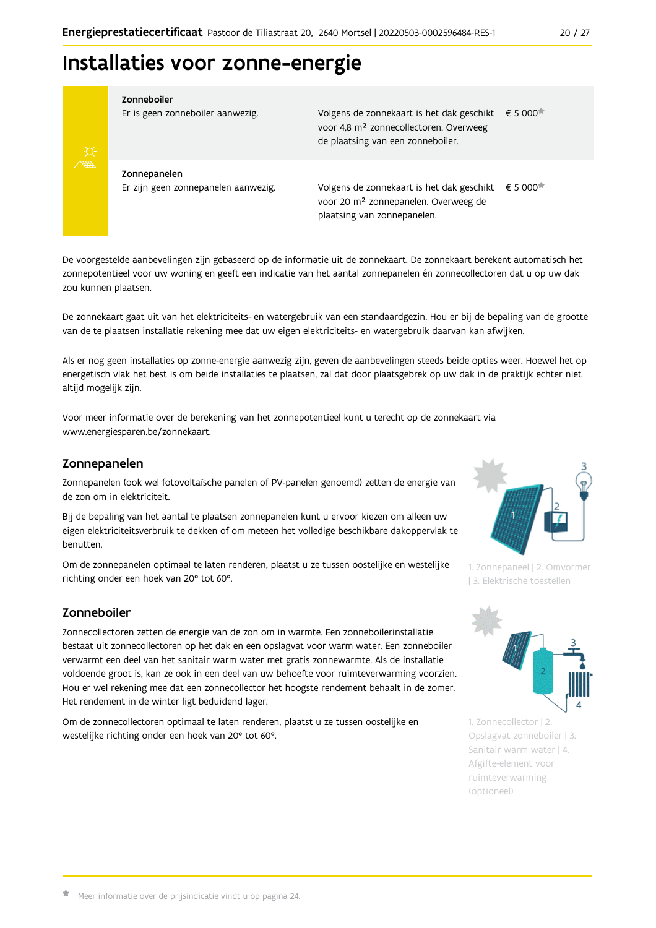# Installaties voor zonne-energie



Zonneboiler

Er is geen zonneboiler aanwezig.

Volgens de zonnekaart is het dak geschikt € 5 000 voor 4,8 m<sup>2</sup> zonnecollectoren. Overweeg de plaatsing van een zonneboiler.

Zonnepanelen Er zijn geen zonnepanelen aanwezig.

Volgens de zonnekaart is het dak geschikt  $\epsilon$  5 000<sup> $\star$ </sup> voor 20 m<sup>2</sup> zonnepanelen. Overweeg de plaatsing van zonnepanelen.

De voorgestelde aanbevelingen zijn gebaseerd op de informatie uit de zonnekaart. De zonnekaart berekent automatisch het zonnepotentieel voor uw woning en geeft een indicatie van het aantal zonnepanelen én zonnecollectoren dat u op uw dak zou kunnen plaatsen.

De zonnekaart gaat uit van het elektriciteits- en watergebruik van een standaardgezin. Hou er bij de bepaling van de grootte van de te plaatsen installatie rekening mee dat uw eigen elektriciteits- en watergebruik daarvan kan afwijken.

Als er nog geen installaties op zonne-energie aanwezig zijn, geven de aanbevelingen steeds beide opties weer. Hoewel het op energetisch vlak het best is om beide installaties te plaatsen, zal dat door plaatsgebrek op uw dak in de praktijk echter niet altijd mogelijk zijn.

Voor meer informatie over de berekening van het zonnepotentieel kunt u terecht op de zonnekaart via www.energiesparen.be/zonnekaart.

#### Zonnepanelen

Zonnepanelen (ook wel fotovoltaïsche panelen of PV-panelen genoemd) zetten de energie van de zon om in elektriciteit.

Bij de bepaling van het aantal te plaatsen zonnepanelen kunt u ervoor kiezen om alleen uw eigen elektriciteitsverbruik te dekken of om meteen het volledige beschikbare dakoppervlak te benutten.

Om de zonnepanelen optimaal te laten renderen, plaatst u ze tussen oostelijke en westelijke richting onder een hoek van 20° tot 60°.

### Zonneboiler

Zonnecollectoren zetten de energie van de zon om in warmte. Een zonneboilerinstallatie bestaat uit zonnecollectoren op het dak en een opslagvat voor warm water. Een zonneboiler verwarmt een deel van het sanitair warm water met gratis zonnewarmte. Als de installatie voldoende groot is, kan ze ook in een deel van uw behoefte voor ruimteverwarming voorzien. Hou er wel rekening mee dat een zonnecollector het hoogste rendement behaalt in de zomer. Het rendement in de winter ligt beduidend lager.

Om de zonnecollectoren optimaal te laten renderen, plaatst u ze tussen oostelijke en westelijke richting onder een hoek van 20° tot 60°.



1. Zonnepaneel | 2. Omvormer | 3. Elektrische toestellen



1. Zonnecollector | 2. Opslagvat zonneboiler | 3. Sanitair warm water | 4. Afgifte-element voor ruimteverwarming (optioneel)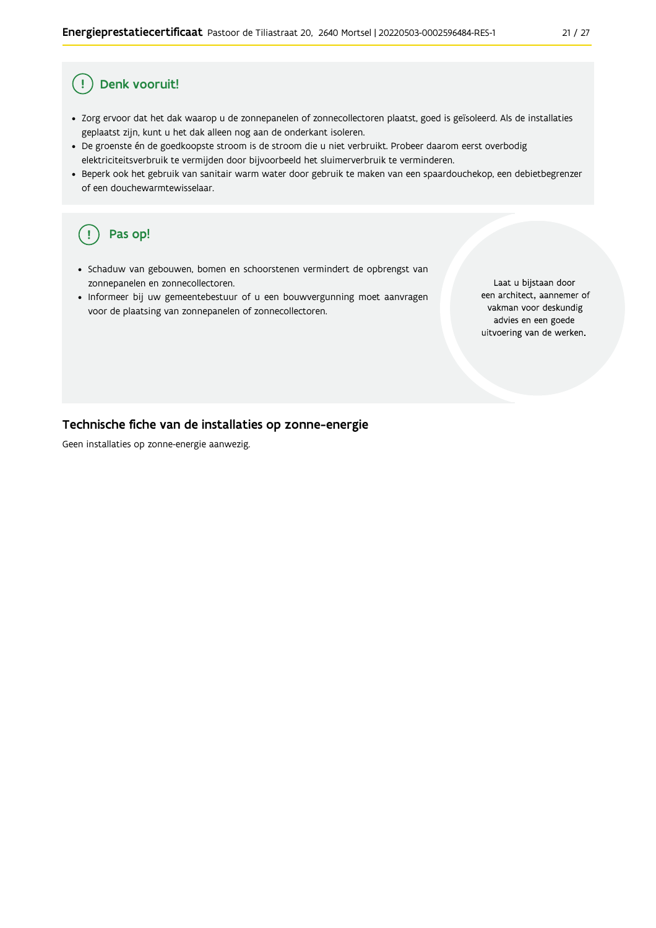#### Ţ Denk vooruit!

- · Zorg ervoor dat het dak waarop u de zonnepanelen of zonnecollectoren plaatst, goed is geïsoleerd. Als de installaties geplaatst zijn, kunt u het dak alleen nog aan de onderkant isoleren.
- · De groenste én de goedkoopste stroom is de stroom die u niet verbruikt. Probeer daarom eerst overbodig elektriciteitsverbruik te vermijden door bijvoorbeeld het sluimerverbruik te verminderen.
- · Beperk ook het gebruik van sanitair warm water door gebruik te maken van een spaardouchekop, een debietbegrenzer of een douchewarmtewisselaar.

#### Pas op! ( !

- · Schaduw van gebouwen, bomen en schoorstenen vermindert de opbrengst van zonnepanelen en zonnecollectoren.
- Informeer bij uw gemeentebestuur of u een bouwvergunning moet aanvragen voor de plaatsing van zonnepanelen of zonnecollectoren.

Laat u bijstaan door een architect, aannemer of vakman voor deskundig advies en een goede uitvoering van de werken.

#### Technische fiche van de installaties op zonne-energie

Geen installaties op zonne-energie aanwezig.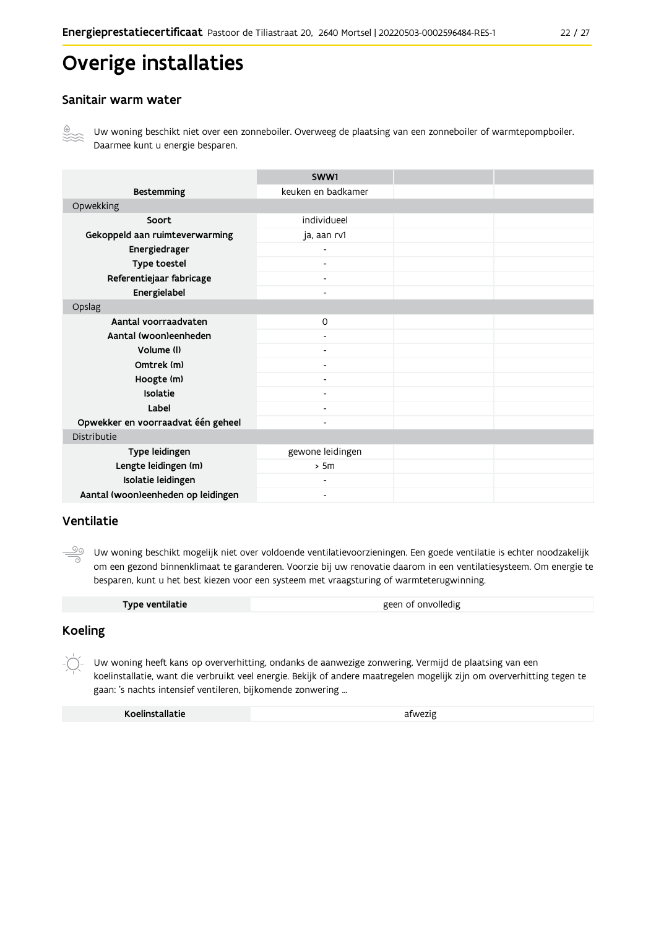# Overige installaties

#### Sanitair warm water



Uw woning beschikt niet over een zonneboiler. Overweeg de plaatsing van een zonneboiler of warmtepompboiler. Daarmee kunt u energie besparen.

|                                    | SWW1                     |  |  |
|------------------------------------|--------------------------|--|--|
| <b>Bestemming</b>                  | keuken en badkamer       |  |  |
| Opwekking                          |                          |  |  |
| Soort                              | individueel              |  |  |
| Gekoppeld aan ruimteverwarming     | ja, aan rv1              |  |  |
| Energiedrager                      | $\overline{\phantom{0}}$ |  |  |
| Type toestel                       | $\overline{\phantom{a}}$ |  |  |
| Referentiejaar fabricage           | $\overline{\phantom{a}}$ |  |  |
| Energielabel                       | $\blacksquare$           |  |  |
| Opslag                             |                          |  |  |
| Aantal voorraadvaten               | $\mathsf{O}$             |  |  |
| Aantal (woon)eenheden              |                          |  |  |
| Volume (I)                         | $\blacksquare$           |  |  |
| Omtrek (m)                         | $\overline{\phantom{0}}$ |  |  |
| Hoogte (m)                         |                          |  |  |
| Isolatie                           | $\overline{\phantom{a}}$ |  |  |
| Label                              | $\overline{\phantom{a}}$ |  |  |
| Opwekker en voorraadvat één geheel | $\overline{\phantom{0}}$ |  |  |
| Distributie                        |                          |  |  |
| Type leidingen                     | gewone leidingen         |  |  |
| Lengte leidingen (m)               | > 5m                     |  |  |
| Isolatie leidingen                 | $\overline{\phantom{0}}$ |  |  |
| Aantal (woon)eenheden op leidingen | $\overline{\phantom{0}}$ |  |  |

#### Ventilatie

<u>99</u> Uw woning beschikt mogelijk niet over voldoende ventilatievoorzieningen. Een goede ventilatie is echter noodzakelijk om een gezond binnenklimaat te garanderen. Voorzie bij uw renovatie daarom in een ventilatiesysteem. Om energie te besparen, kunt u het best kiezen voor een systeem met vraagsturing of warmteterugwinning.

|  | Type ventilatie | geen of onvolledig |
|--|-----------------|--------------------|
|--|-----------------|--------------------|

#### **Koeling**

 $-\bigcirc$ Uw woning heeft kans op oververhitting, ondanks de aanwezige zonwering. Vermijd de plaatsing van een koelinstallatie, want die verbruikt veel energie. Bekijk of andere maatregelen mogelijk zijn om oververhitting tegen te gaan: 's nachts intensief ventileren, bijkomende zonwering ...

| Koelinstallatie | afwezig |
|-----------------|---------|
|                 |         |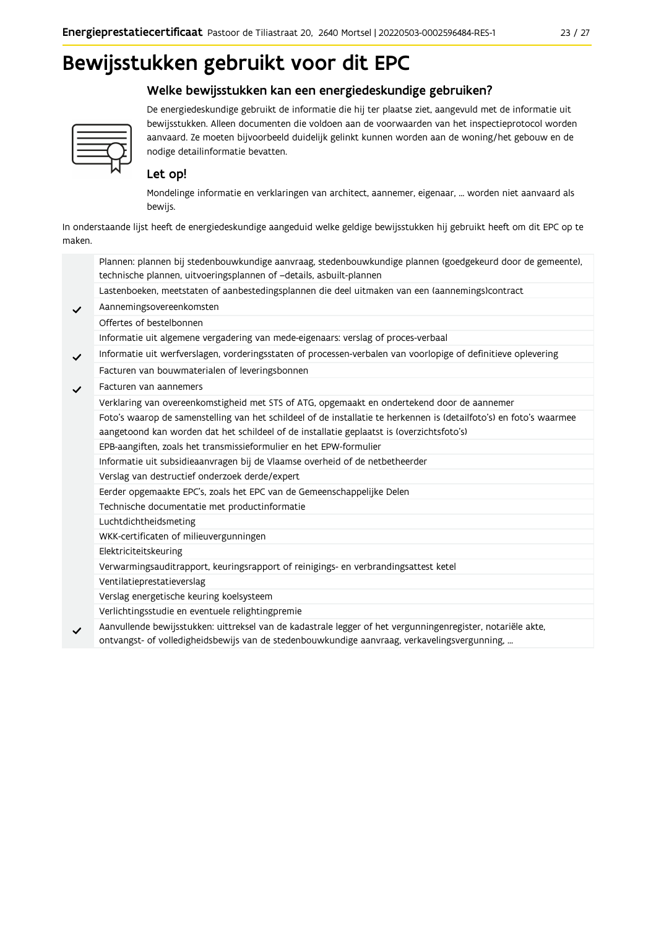# Bewijsstukken gebruikt voor dit EPC

## Welke bewijsstukken kan een energiedeskundige gebruiken?



De energiedeskundige gebruikt de informatie die hij ter plaatse ziet, aangevuld met de informatie uit bewijsstukken. Alleen documenten die voldoen aan de voorwaarden van het inspectieprotocol worden aanvaard. Ze moeten bijvoorbeeld duidelijk gelinkt kunnen worden aan de woning/het gebouw en de nodige detailinformatie bevatten.

## Let op!

Mondelinge informatie en verklaringen van architect, aannemer, eigenaar, ... worden niet aanvaard als bewijs.

In onderstaande lijst heeft de energiedeskundige aangeduid welke geldige bewijsstukken hij gebruikt heeft om dit EPC op te maken.

|              | Plannen: plannen bij stedenbouwkundige aanvraag, stedenbouwkundige plannen (goedgekeurd door de gemeente),<br>technische plannen, uitvoeringsplannen of -details, asbuilt-plannen                                |
|--------------|------------------------------------------------------------------------------------------------------------------------------------------------------------------------------------------------------------------|
|              | Lastenboeken, meetstaten of aanbestedingsplannen die deel uitmaken van een (aannemings)contract                                                                                                                  |
| $\checkmark$ | Aannemingsovereenkomsten                                                                                                                                                                                         |
|              | Offertes of bestelbonnen                                                                                                                                                                                         |
|              | Informatie uit algemene vergadering van mede-eigenaars: verslag of proces-verbaal                                                                                                                                |
| $\checkmark$ | Informatie uit werfverslagen, vorderingsstaten of processen-verbalen van voorlopige of definitieve oplevering                                                                                                    |
|              | Facturen van bouwmaterialen of leveringsbonnen                                                                                                                                                                   |
| $\checkmark$ | Facturen van aannemers                                                                                                                                                                                           |
|              | Verklaring van overeenkomstigheid met STS of ATG, opgemaakt en ondertekend door de aannemer                                                                                                                      |
|              | Foto's waarop de samenstelling van het schildeel of de installatie te herkennen is (detailfoto's) en foto's waarmee<br>aangetoond kan worden dat het schildeel of de installatie geplaatst is (overzichtsfoto's) |
|              | EPB-aangiften, zoals het transmissieformulier en het EPW-formulier                                                                                                                                               |
|              | Informatie uit subsidieaanvragen bij de Vlaamse overheid of de netbetheerder                                                                                                                                     |
|              | Verslag van destructief onderzoek derde/expert                                                                                                                                                                   |
|              | Eerder opgemaakte EPC's, zoals het EPC van de Gemeenschappelijke Delen                                                                                                                                           |
|              | Technische documentatie met productinformatie                                                                                                                                                                    |
|              | Luchtdichtheidsmeting                                                                                                                                                                                            |
|              | WKK-certificaten of milieuvergunningen                                                                                                                                                                           |
|              | Elektriciteitskeuring                                                                                                                                                                                            |
|              | Verwarmingsauditrapport, keuringsrapport of reinigings- en verbrandingsattest ketel                                                                                                                              |
|              | Ventilatieprestatieverslag                                                                                                                                                                                       |
|              | Verslag energetische keuring koelsysteem                                                                                                                                                                         |
|              | Verlichtingsstudie en eventuele relightingpremie                                                                                                                                                                 |
| $\checkmark$ | Aanvullende bewijsstukken: uittreksel van de kadastrale legger of het vergunningenregister, notariële akte,<br>ontvangst- of volledigheidsbewijs van de stedenbouwkundige aanvraag, verkavelingsvergunning,      |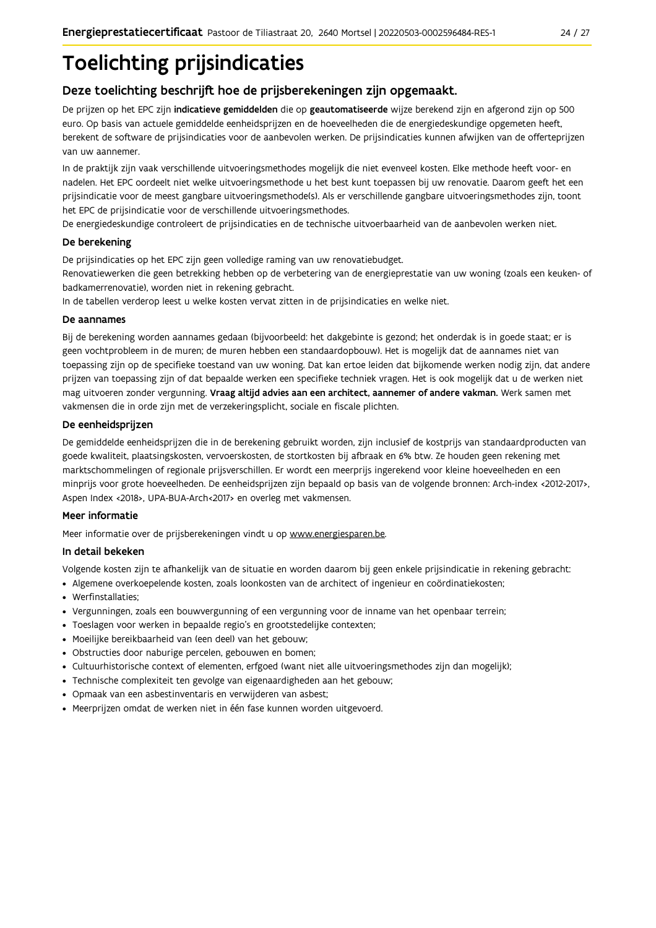# **Toelichting prijsindicaties**

## Deze toelichting beschrijft hoe de prijsberekeningen zijn opgemaakt.

De prijzen op het EPC zijn indicatieve gemiddelden die op geautomatiseerde wijze berekend zijn en afgerond zijn op 500 euro. Op basis van actuele gemiddelde eenheidsprijzen en de hoeveelheden die de energiedeskundige opgemeten heeft, berekent de software de prijsindicaties voor de aanbevolen werken. De prijsindicaties kunnen afwijken van de offerteprijzen van uw aannemer.

In de praktijk zijn vaak verschillende uitvoeringsmethodes mogelijk die niet evenveel kosten. Elke methode heeft voor- en nadelen. Het EPC oordeelt niet welke uitvoeringsmethode u het best kunt toepassen bij uw renovatie. Daarom geeft het een prijsindicatie voor de meest gangbare uitvoeringsmethode(s). Als er verschillende gangbare uitvoeringsmethodes zijn, toont het EPC de prijsindicatie voor de verschillende uitvoeringsmethodes.

De energiedeskundige controleert de prijsindicaties en de technische uitvoerbaarheid van de aanbevolen werken niet.

#### De berekening

De prijsindicaties op het EPC zijn geen volledige raming van uw renovatiebudget.

Renovatiewerken die geen betrekking hebben op de verbetering van de energieprestatie van uw woning (zoals een keuken- of badkamerrenovatie), worden niet in rekening gebracht.

In de tabellen verderop leest u welke kosten vervat zitten in de prijsindicaties en welke niet.

#### De aannames

Bij de berekening worden aannames gedaan (bijvoorbeeld: het dakgebinte is gezond; het onderdak is in goede staat; er is geen vochtprobleem in de muren; de muren hebben een standaardopbouw). Het is mogelijk dat de aannames niet van toepassing zijn op de specifieke toestand van uw woning. Dat kan ertoe leiden dat bijkomende werken nodig zijn, dat andere prijzen van toepassing zijn of dat bepaalde werken een specifieke techniek vragen. Het is ook mogelijk dat u de werken niet mag uitvoeren zonder vergunning. Vraag altijd advies aan een architect, aannemer of andere vakman. Werk samen met vakmensen die in orde zijn met de verzekeringsplicht, sociale en fiscale plichten.

#### De eenheidsprijzen

De gemiddelde eenheidspriizen die in de berekening gebruikt worden, zijn inclusief de kostpriis van standaardproducten van goede kwaliteit, plaatsingskosten, vervoerskosten, de stortkosten bij afbraak en 6% btw. Ze houden geen rekening met marktschommelingen of regionale prijsverschillen. Er wordt een meerprijs ingerekend voor kleine hoeveelheden en een minprijs voor grote hoeveelheden. De eenheidsprijzen zijn bepaald op basis van de volgende bronnen: Arch-index <2012-2017>, Aspen Index <2018>, UPA-BUA-Arch<2017> en overleg met vakmensen.

#### Meer informatie

Meer informatie over de prijsberekeningen vindt u op www.energiesparen.be.

#### In detail bekeken

Volgende kosten zijn te afhankelijk van de situatie en worden daarom bij geen enkele prijsindicatie in rekening gebracht:

- Algemene overkoepelende kosten, zoals loonkosten van de architect of ingenieur en coördinatiekosten;
- Werfinstallaties:
- · Vergunningen, zoals een bouwvergunning of een vergunning voor de inname van het openbaar terrein;
- Toeslagen voor werken in bepaalde regio's en grootstedelijke contexten:
- · Moeilijke bereikbaarheid van (een deel) van het gebouw;
- · Obstructies door naburige percelen, gebouwen en bomen;
- · Cultuurhistorische context of elementen, erfgoed (want niet alle uitvoeringsmethodes zijn dan mogelijk);
- · Technische complexiteit ten gevolge van eigenaardigheden aan het gebouw;
- · Opmaak van een asbestinventaris en verwijderen van asbest;
- · Meerprijzen omdat de werken niet in één fase kunnen worden uitgevoerd.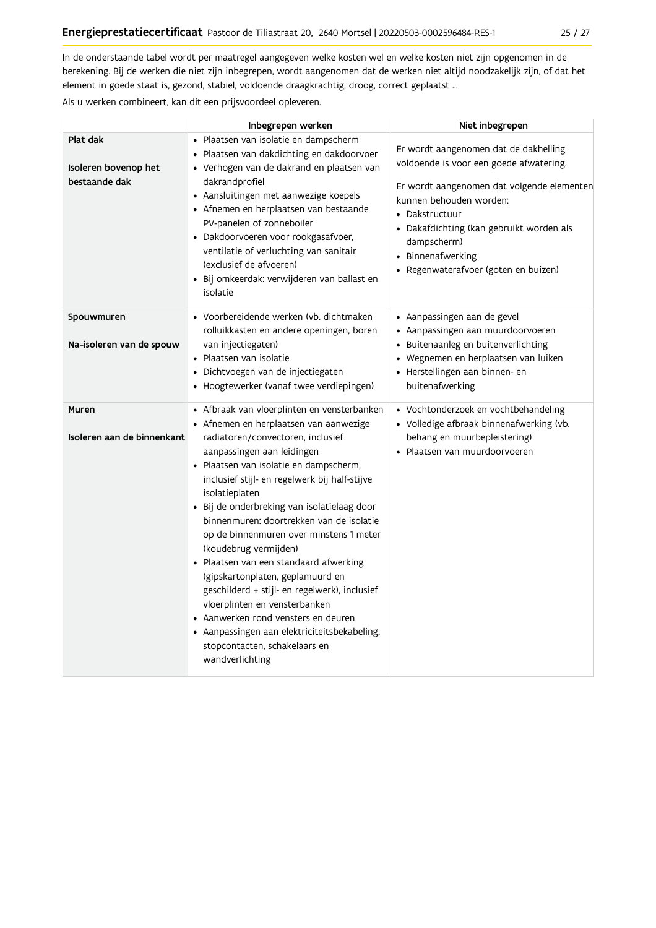In de onderstaande tabel wordt per maatregel aangegeven welke kosten wel en welke kosten niet zijn opgenomen in de berekening. Bij de werken die niet zijn inbegrepen, wordt aangenomen dat de werken niet altijd noodzakelijk zijn, of dat het element in goede staat is, gezond, stabiel, voldoende draagkrachtig, droog, correct geplaatst ...

Als u werken combineert, kan dit een prijsvoordeel opleveren.

|                                                   | Inbegrepen werken                                                                                                                                                                                                                                                                                                                                                                                                                                                                                                                                                                                                                                                                                                                               | Niet inbegrepen                                                                                                                                                                                                                                                                                     |
|---------------------------------------------------|-------------------------------------------------------------------------------------------------------------------------------------------------------------------------------------------------------------------------------------------------------------------------------------------------------------------------------------------------------------------------------------------------------------------------------------------------------------------------------------------------------------------------------------------------------------------------------------------------------------------------------------------------------------------------------------------------------------------------------------------------|-----------------------------------------------------------------------------------------------------------------------------------------------------------------------------------------------------------------------------------------------------------------------------------------------------|
| Plat dak<br>Isoleren bovenop het<br>bestaande dak | · Plaatsen van isolatie en dampscherm<br>· Plaatsen van dakdichting en dakdoorvoer<br>• Verhogen van de dakrand en plaatsen van<br>dakrandprofiel<br>• Aansluitingen met aanwezige koepels<br>• Afnemen en herplaatsen van bestaande<br>PV-panelen of zonneboiler<br>· Dakdoorvoeren voor rookgasafvoer,<br>ventilatie of verluchting van sanitair<br>(exclusief de afvoeren)<br>· Bij omkeerdak: verwijderen van ballast en<br>isolatie                                                                                                                                                                                                                                                                                                        | Er wordt aangenomen dat de dakhelling<br>voldoende is voor een goede afwatering.<br>Er wordt aangenomen dat volgende elementen<br>kunnen behouden worden:<br>• Dakstructuur<br>· Dakafdichting (kan gebruikt worden als<br>dampscherm)<br>• Binnenafwerking<br>• Regenwaterafvoer (goten en buizen) |
| Spouwmuren<br>Na-isoleren van de spouw            | • Voorbereidende werken (vb. dichtmaken<br>rolluikkasten en andere openingen, boren<br>van injectiegaten)<br>• Plaatsen van isolatie<br>· Dichtvoegen van de injectiegaten<br>• Hoogtewerker (vanaf twee verdiepingen)                                                                                                                                                                                                                                                                                                                                                                                                                                                                                                                          | • Aanpassingen aan de gevel<br>• Aanpassingen aan muurdoorvoeren<br>• Buitenaanleg en buitenverlichting<br>• Wegnemen en herplaatsen van luiken<br>· Herstellingen aan binnen- en<br>buitenafwerking                                                                                                |
| Muren<br>Isoleren aan de binnenkant               | • Afbraak van vloerplinten en vensterbanken<br>• Afnemen en herplaatsen van aanwezige<br>radiatoren/convectoren, inclusief<br>aanpassingen aan leidingen<br>· Plaatsen van isolatie en dampscherm,<br>inclusief stijl- en regelwerk bij half-stijve<br>isolatieplaten<br>· Bij de onderbreking van isolatielaag door<br>binnenmuren: doortrekken van de isolatie<br>op de binnenmuren over minstens 1 meter<br>(koudebrug vermijden)<br>• Plaatsen van een standaard afwerking<br>(gipskartonplaten, geplamuurd en<br>geschilderd + stijl- en regelwerk), inclusief<br>vloerplinten en vensterbanken<br>• Aanwerken rond vensters en deuren<br>• Aanpassingen aan elektriciteitsbekabeling,<br>stopcontacten, schakelaars en<br>wandverlichting | • Vochtonderzoek en vochtbehandeling<br>• Volledige afbraak binnenafwerking (vb.<br>behang en muurbepleistering)<br>• Plaatsen van muurdoorvoeren                                                                                                                                                   |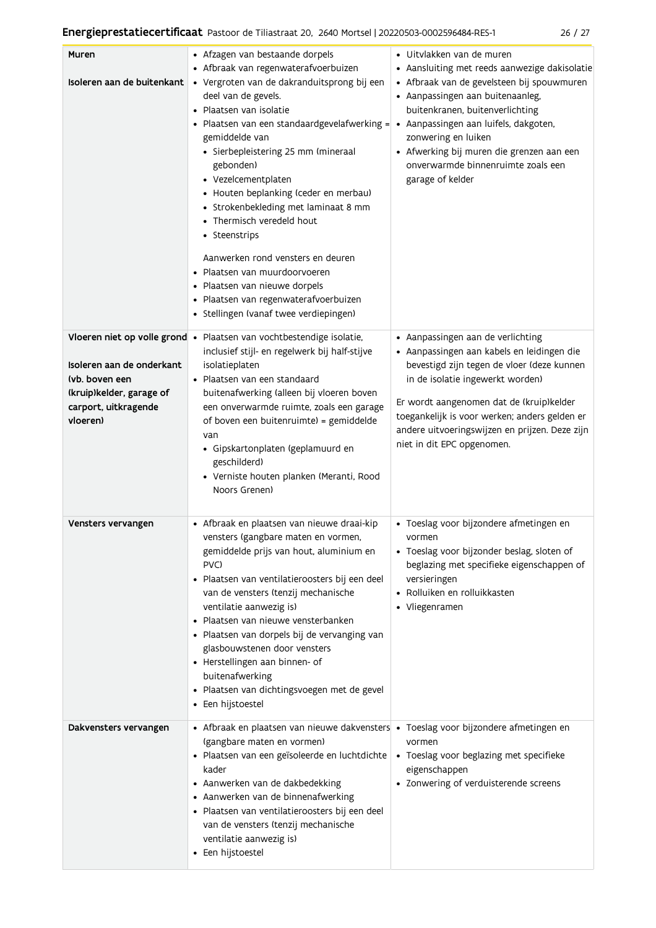| Muren<br>Isoleren aan de buitenkant                                                                                                          | • Afzagen van bestaande dorpels<br>• Afbraak van regenwaterafvoerbuizen<br>· Vergroten van de dakranduitsprong bij een<br>deel van de gevels.<br>• Plaatsen van isolatie<br>Plaatsen van een standaardgevelafwerking =<br>gemiddelde van<br>· Sierbepleistering 25 mm (mineraal<br>gebonden)<br>• Vezelcementplaten<br>• Houten beplanking (ceder en merbau)<br>• Strokenbekleding met laminaat 8 mm<br>• Thermisch veredeld hout<br>• Steenstrips<br>Aanwerken rond vensters en deuren<br>Plaatsen van muurdoorvoeren<br>· Plaatsen van nieuwe dorpels<br>· Plaatsen van regenwaterafvoerbuizen<br>• Stellingen (vanaf twee verdiepingen) | · Uitvlakken van de muren<br>• Aansluiting met reeds aanwezige dakisolatie<br>· Afbraak van de gevelsteen bij spouwmuren<br>• Aanpassingen aan buitenaanleg,<br>buitenkranen, buitenverlichting<br>· Aanpassingen aan luifels, dakgoten,<br>zonwering en luiken<br>• Afwerking bij muren die grenzen aan een<br>onverwarmde binnenruimte zoals een<br>garage of kelder |
|----------------------------------------------------------------------------------------------------------------------------------------------|--------------------------------------------------------------------------------------------------------------------------------------------------------------------------------------------------------------------------------------------------------------------------------------------------------------------------------------------------------------------------------------------------------------------------------------------------------------------------------------------------------------------------------------------------------------------------------------------------------------------------------------------|------------------------------------------------------------------------------------------------------------------------------------------------------------------------------------------------------------------------------------------------------------------------------------------------------------------------------------------------------------------------|
| Vloeren niet op volle grond •<br>Isoleren aan de onderkant<br>(vb. boven een<br>(kruip)kelder, garage of<br>carport, uitkragende<br>vloeren) | Plaatsen van vochtbestendige isolatie,<br>inclusief stijl- en regelwerk bij half-stijve<br>isolatieplaten<br>· Plaatsen van een standaard<br>buitenafwerking (alleen bij vloeren boven<br>een onverwarmde ruimte, zoals een garage<br>of boven een buitenruimte) = gemiddelde<br>van<br>· Gipskartonplaten (geplamuurd en<br>geschilderd)<br>· Verniste houten planken (Meranti, Rood<br>Noors Grenen)                                                                                                                                                                                                                                     | • Aanpassingen aan de verlichting<br>· Aanpassingen aan kabels en leidingen die<br>bevestigd zijn tegen de vloer (deze kunnen<br>in de isolatie ingewerkt worden)<br>Er wordt aangenomen dat de (kruip)kelder<br>toegankelijk is voor werken; anders gelden er<br>andere uitvoeringswijzen en prijzen. Deze zijn<br>niet in dit EPC opgenomen.                         |
| Vensters vervangen                                                                                                                           | · Afbraak en plaatsen van nieuwe draai-kip<br>vensters (gangbare maten en vormen,<br>gemiddelde prijs van hout, aluminium en<br>PVC)<br>· Plaatsen van ventilatieroosters bij een deel<br>van de vensters (tenzij mechanische<br>ventilatie aanwezig is)<br>Plaatsen van nieuwe vensterbanken<br>· Plaatsen van dorpels bij de vervanging van<br>glasbouwstenen door vensters<br>• Herstellingen aan binnen- of<br>buitenafwerking<br>· Plaatsen van dichtingsvoegen met de gevel<br>• Een hijstoestel                                                                                                                                     | · Toeslag voor bijzondere afmetingen en<br>vormen<br>· Toeslag voor bijzonder beslag, sloten of<br>beglazing met specifieke eigenschappen of<br>versieringen<br>• Rolluiken en rolluikkasten<br>• Vliegenramen                                                                                                                                                         |
| Dakvensters vervangen                                                                                                                        | • Afbraak en plaatsen van nieuwe dakvensters • Toeslag voor bijzondere afmetingen en<br>(gangbare maten en vormen)<br>· Plaatsen van een geïsoleerde en luchtdichte<br>kader<br>• Aanwerken van de dakbedekking<br>• Aanwerken van de binnenafwerking<br>· Plaatsen van ventilatieroosters bij een deel<br>van de vensters (tenzij mechanische<br>ventilatie aanwezig is)<br>• Een hijstoestel                                                                                                                                                                                                                                             | vormen<br>• Toeslag voor beglazing met specifieke<br>eigenschappen<br>• Zonwering of verduisterende screens                                                                                                                                                                                                                                                            |